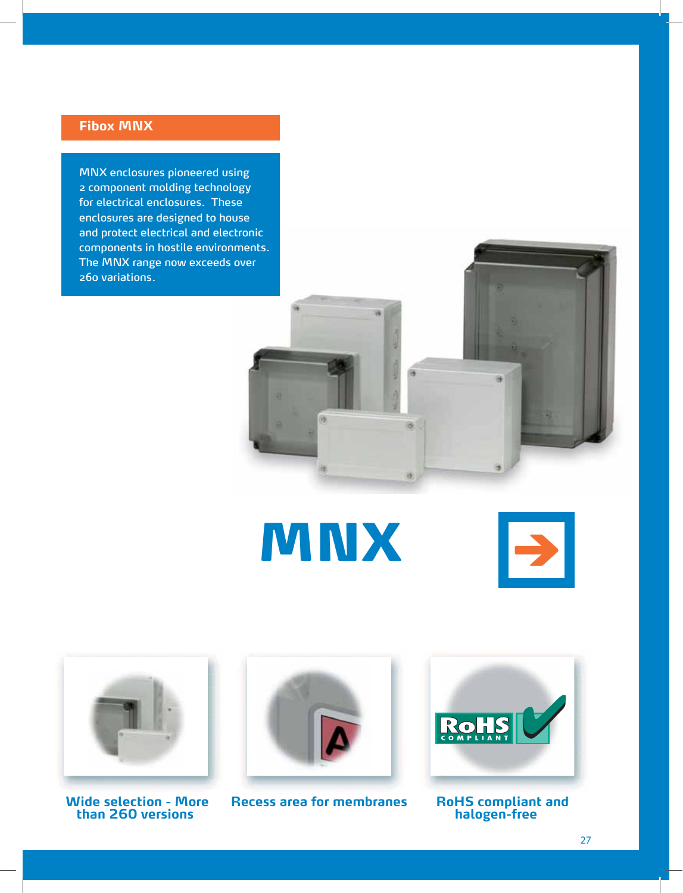## **Fibox MNX**

MNX enclosures pioneered using 2 component molding technology for electrical enclosures. These enclosures are designed to house and protect electrical and electronic components in hostile environments. The MNX range now exceeds over 260 variations.



**MNX** 





 **than 260 versions halogen-free**



**Wide selection - More Recess area for membranes RoHS compliant and**

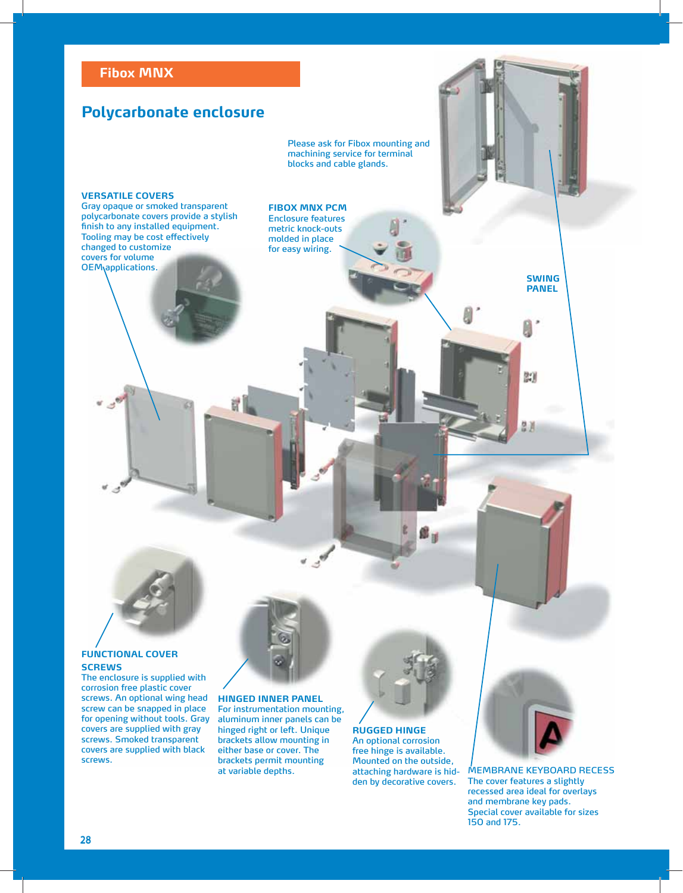## **Polycarbonate enclosure**

Please ask for Fibox mounting and machining service for terminal blocks and cable glands.

### **VERSATILE COVERS**

Gray opaque or smoked transparent polycarbonate covers provide a stylish finish to any installed equipment. Tooling may be cost effectively changed to customize covers for volume OEM applications.

### **FIBOX MNX PCM**

Enclosure features metric knock-outs molded in place for easy wiring.



### **FUNCTIONAL COVER SCREWS**

The enclosure is supplied with corrosion free plastic cover screws. An optional wing head screw can be snapped in place for opening without tools. Gray covers are supplied with gray screws. Smoked transparent covers are supplied with black screws.

# **HINGED INNER PANEL**

For instrumentation mounting, aluminum inner panels can be hinged right or left. Unique brackets allow mounting in either base or cover. The brackets permit mounting at variable depths.



**RUGGED HINGE** An optional corrosion free hinge is available. Mounted on the outside, attaching hardware is hidden by decorative covers.



**SWING PANEL**

尉

MEMBRANE KEYBOARD RECESS The cover features a slightly recessed area ideal for overlays and membrane key pads. Special cover available for sizes 150 and 175.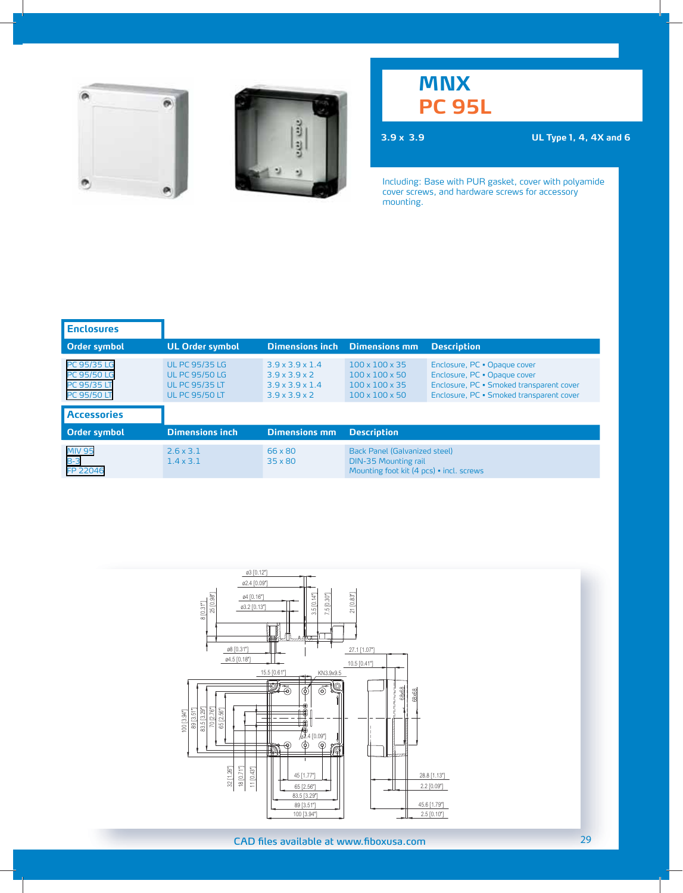



## **MNX PC 95L**

**3.9 x 3.9 UL Type 1, 4, 4X and 6**

| <b>Enclosures</b>                                                             |                                                                                                  |                                                                                                                      |                                                                                                                      |                                                                                                                                                      |
|-------------------------------------------------------------------------------|--------------------------------------------------------------------------------------------------|----------------------------------------------------------------------------------------------------------------------|----------------------------------------------------------------------------------------------------------------------|------------------------------------------------------------------------------------------------------------------------------------------------------|
| <b>Order symbol</b>                                                           | <b>UL Order symbol</b>                                                                           | <b>Dimensions inch</b>                                                                                               | <b>Dimensions mm</b>                                                                                                 | <b>Description</b>                                                                                                                                   |
| <b>PC 95/35 LG</b><br><b>PC 95/50 LG</b><br>PC 95/35 LT<br><b>PC 95/50 LT</b> | <b>UL PC 95/35 LG</b><br><b>UL PC 95/50 LG</b><br><b>UL PC 95/35 LT</b><br><b>UL PC 95/50 LT</b> | $3.9 \times 3.9 \times 1.4$<br>$3.9 \times 3.9 \times 2$<br>$3.9 \times 3.9 \times 1.4$<br>$3.9 \times 3.9 \times 2$ | $100 \times 100 \times 35$<br>$100 \times 100 \times 50$<br>$100 \times 100 \times 35$<br>$100 \times 100 \times 50$ | Enclosure, PC . Opaque cover<br>Enclosure, PC . Opaque cover<br>Enclosure, PC · Smoked transparent cover<br>Enclosure, PC · Smoked transparent cover |
| <b>Accessories</b>                                                            |                                                                                                  |                                                                                                                      |                                                                                                                      |                                                                                                                                                      |
| <b>Order symbol</b>                                                           | <b>Dimensions inch</b>                                                                           | <b>Dimensions mm</b>                                                                                                 | <b>Description</b>                                                                                                   |                                                                                                                                                      |
| <b>MIV 95</b><br>$B-3$<br>FP 22046                                            | $2.6 \times 3.1$<br>$1.4 \times 3.1$                                                             | 66 x 80<br>35 x 80                                                                                                   | Back Panel (Galvanized steel)<br><b>DIN-35 Mounting rail</b><br>Mounting foot kit (4 pcs) · incl. screws             |                                                                                                                                                      |

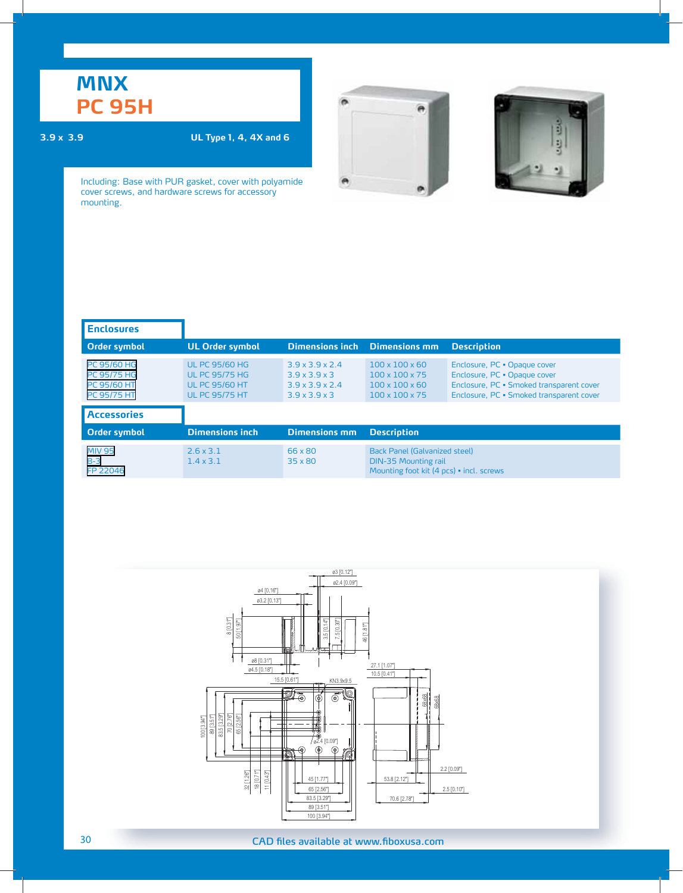## **MNX PC 95H**

### **3.9 x 3.9 UL Type 1, 4, 4X and 6**





| <b>Enclosures</b>                                                                    |                                                                                                  |                                                                                                                      |                                                                                                                      |                                                                                                                                                      |
|--------------------------------------------------------------------------------------|--------------------------------------------------------------------------------------------------|----------------------------------------------------------------------------------------------------------------------|----------------------------------------------------------------------------------------------------------------------|------------------------------------------------------------------------------------------------------------------------------------------------------|
| Order symbol                                                                         | <b>UL Order symbol</b>                                                                           | <b>Dimensions inch</b>                                                                                               | <b>Dimensions mm</b>                                                                                                 | <b>Description</b>                                                                                                                                   |
| <b>PC 95/60 HG</b><br><b>PC 95/75 HG</b><br><b>PC 95/60 HT</b><br><b>PC 95/75 HT</b> | <b>UL PC 95/60 HG</b><br><b>UL PC 95/75 HG</b><br><b>UL PC 95/60 HT</b><br><b>UL PC 95/75 HT</b> | $3.9 \times 3.9 \times 2.4$<br>$3.9 \times 3.9 \times 3$<br>$3.9 \times 3.9 \times 2.4$<br>$3.9 \times 3.9 \times 3$ | $100 \times 100 \times 60$<br>$100 \times 100 \times 75$<br>$100 \times 100 \times 60$<br>$100 \times 100 \times 75$ | Enclosure, PC . Opaque cover<br>Enclosure, PC . Opaque cover<br>Enclosure, PC · Smoked transparent cover<br>Enclosure, PC · Smoked transparent cover |
| <b>Accessories</b>                                                                   |                                                                                                  |                                                                                                                      |                                                                                                                      |                                                                                                                                                      |
| Order symbol                                                                         | <b>Dimensions inch</b>                                                                           | <b>Dimensions mm</b>                                                                                                 | <b>Description</b>                                                                                                   |                                                                                                                                                      |
| <b>MIV 95</b><br>$B-3$<br>FP 22046                                                   | $2.6 \times 3.1$<br>$1.4 \times 3.1$                                                             | 66 x 80<br>$35 \times 80$                                                                                            | Back Panel (Galvanized steel)<br><b>DIN-35 Mounting rail</b><br>Mounting foot kit (4 pcs) · incl. screws             |                                                                                                                                                      |

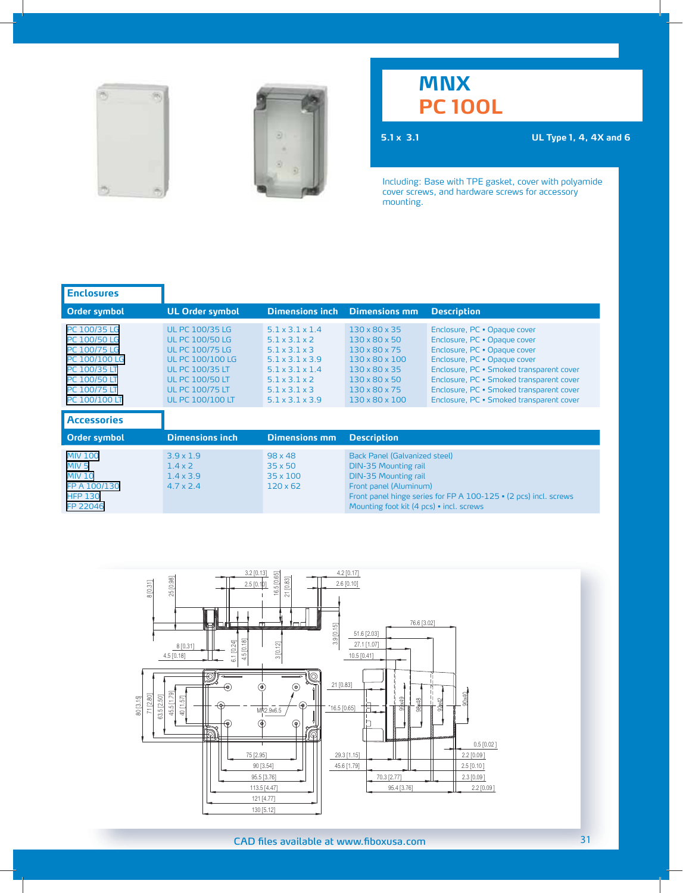



## **MNX PC 100L**

**5.1 x 3.1 UL Type 1, 4, 4X and 6**

| <b>Enclosures</b>                                                                                                                            |                                                                                                                                                                                                                |                                                                                                                                                                                                                           |                                                                                                                                                                                                                                       |                                                                                                                                                                                                                                                                                                              |
|----------------------------------------------------------------------------------------------------------------------------------------------|----------------------------------------------------------------------------------------------------------------------------------------------------------------------------------------------------------------|---------------------------------------------------------------------------------------------------------------------------------------------------------------------------------------------------------------------------|---------------------------------------------------------------------------------------------------------------------------------------------------------------------------------------------------------------------------------------|--------------------------------------------------------------------------------------------------------------------------------------------------------------------------------------------------------------------------------------------------------------------------------------------------------------|
| Order symbol                                                                                                                                 | <b>UL Order symbol</b>                                                                                                                                                                                         | <b>Dimensions inch</b>                                                                                                                                                                                                    | <b>Dimensions mm</b>                                                                                                                                                                                                                  | <b>Description</b>                                                                                                                                                                                                                                                                                           |
| PC 100/35 LG<br>PC 100/50 LG<br>PC 100/75 LG<br>PC 100/100 LG<br>PC 100/35 LT<br><b>PC 100/50 LT</b><br><b>PC 100/75 LT</b><br>PC 100/100 LT | <b>UL PC 100/35 LG</b><br><b>UL PC 100/50 LG</b><br><b>UL PC 100/75 LG</b><br><b>UL PC 100/100 LG</b><br><b>UL PC 100/35 LT</b><br><b>UL PC 100/50 LT</b><br><b>UL PC 100/75 LT</b><br><b>UL PC 100/100 LT</b> | 51x31x14<br>$5.1 \times 3.1 \times 2$<br>$5.1 \times 3.1 \times 3$<br>$5.1 \times 3.1 \times 3.9$<br>$5.1 \times 3.1 \times 1.4$<br>$5.1 \times 3.1 \times 2$<br>$5.1 \times 3.1 \times 3$<br>$5.1 \times 3.1 \times 3.9$ | $130 \times 80 \times 35$<br>$130 \times 80 \times 50$<br>130 x 80 x 75<br>$130 \times 80 \times 100$<br>$130 \times 80 \times 35$<br>$130 \times 80 \times 50$<br>130 x 80 x 75<br>$130 \times 80 \times 100$                        | Enclosure, PC . Opaque cover<br>Enclosure, PC . Opaque cover<br>Enclosure, PC . Opaque cover<br>Enclosure, PC . Opaque cover<br>Enclosure, PC · Smoked transparent cover<br>Enclosure, PC · Smoked transparent cover<br>Enclosure, PC · Smoked transparent cover<br>Enclosure, PC · Smoked transparent cover |
| <b>Accessories</b>                                                                                                                           |                                                                                                                                                                                                                |                                                                                                                                                                                                                           |                                                                                                                                                                                                                                       |                                                                                                                                                                                                                                                                                                              |
| Order symbol                                                                                                                                 | <b>Dimensions inch</b>                                                                                                                                                                                         | <b>Dimensions mm</b>                                                                                                                                                                                                      | <b>Description</b>                                                                                                                                                                                                                    |                                                                                                                                                                                                                                                                                                              |
| <b>MIV 100</b><br>MIV <sub>5</sub><br><b>MIV 10</b><br>FP A 100/130<br><b>HFP 130</b><br>FP 22046                                            | $3.9 \times 1.9$<br>$1.4 \times 2$<br>$1.4 \times 3.9$<br>$4.7 \times 2.4$                                                                                                                                     | $98 \times 48$<br>$35 \times 50$<br>$35 \times 100$<br>$120 \times 62$                                                                                                                                                    | Back Panel (Galvanized steel)<br><b>DIN-35 Mounting rail</b><br><b>DIN-35 Mounting rail</b><br>Front panel (Aluminum)<br>Front panel hinge series for FP A 100-125 • (2 pcs) incl. screws<br>Mounting foot kit (4 pcs) · incl. screws |                                                                                                                                                                                                                                                                                                              |

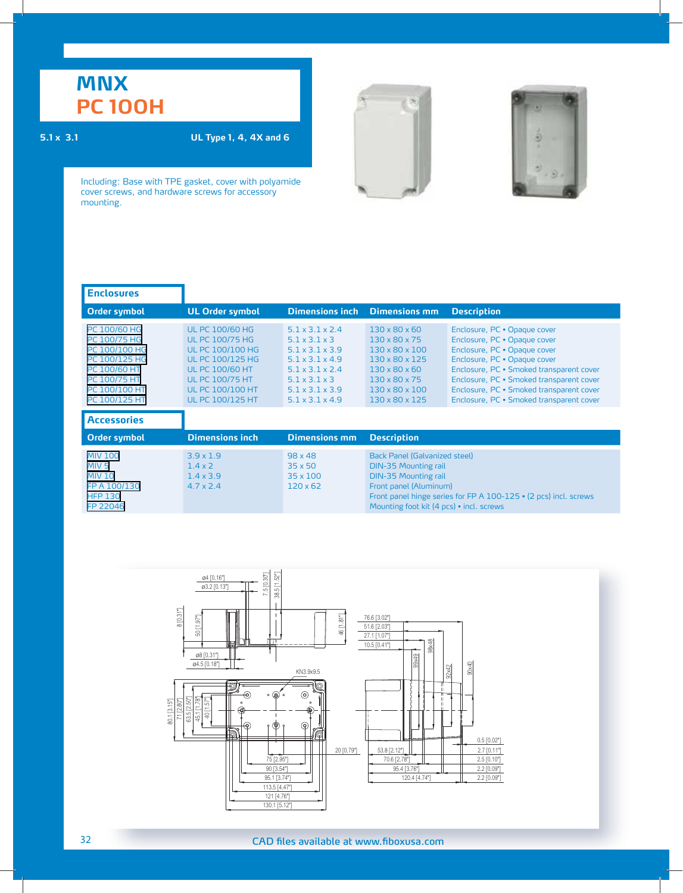# **MNX PC 100H**

### **5.1 x 3.1 UL Type 1, 4, 4X and 6**





| <b>Enclosures</b>                                                                                                                |                                                                                                                                                                                                                  |                                                                                                                                                                                                                               |                                                                                                                                                                                                                                              |                                                                                                                                                                                                                                                                                                              |
|----------------------------------------------------------------------------------------------------------------------------------|------------------------------------------------------------------------------------------------------------------------------------------------------------------------------------------------------------------|-------------------------------------------------------------------------------------------------------------------------------------------------------------------------------------------------------------------------------|----------------------------------------------------------------------------------------------------------------------------------------------------------------------------------------------------------------------------------------------|--------------------------------------------------------------------------------------------------------------------------------------------------------------------------------------------------------------------------------------------------------------------------------------------------------------|
| Order symbol                                                                                                                     | <b>UL Order symbol</b>                                                                                                                                                                                           | <b>Dimensions inch</b>                                                                                                                                                                                                        | <b>Dimensions mm</b>                                                                                                                                                                                                                         | <b>Description</b>                                                                                                                                                                                                                                                                                           |
| PC 100/60 HG<br>PC 100/75 HG<br>PC 100/100 HG<br>PC 100/125 HG<br>PC 100/60 HT<br>PC 100/75 HT<br>PC 100/100 HT<br>PC 100/125 HT | <b>UL PC 100/60 HG</b><br><b>UL PC 100/75 HG</b><br><b>UL PC 100/100 HG</b><br><b>UL PC 100/125 HG</b><br><b>UL PC 100/60 HT</b><br><b>UL PC 100/75 HT</b><br><b>UL PC 100/100 HT</b><br><b>UL PC 100/125 HT</b> | 51x31x24<br>$5.1 \times 3.1 \times 3$<br>$5.1 \times 3.1 \times 3.9$<br>$5.1 \times 3.1 \times 4.9$<br>$5.1 \times 3.1 \times 2.4$<br>$5.1 \times 3.1 \times 3$<br>$5.1 \times 3.1 \times 3.9$<br>$5.1 \times 3.1 \times 4.9$ | $130 \times 80 \times 60$<br>130 x 80 x 75<br>$130 \times 80 \times 100$<br>130 x 80 x 125<br>$130 \times 80 \times 60$<br>130 x 80 x 75<br>130 x 80 x 100<br>$130 \times 80 \times 125$                                                     | Enclosure, PC . Opaque cover<br>Enclosure, PC . Opaque cover<br>Enclosure, PC . Opaque cover<br>Enclosure, PC . Opaque cover<br>Enclosure, PC · Smoked transparent cover<br>Enclosure, PC · Smoked transparent cover<br>Enclosure, PC · Smoked transparent cover<br>Enclosure, PC · Smoked transparent cover |
| <b>Accessories</b>                                                                                                               |                                                                                                                                                                                                                  |                                                                                                                                                                                                                               |                                                                                                                                                                                                                                              |                                                                                                                                                                                                                                                                                                              |
| Order symbol                                                                                                                     | <b>Dimensions inch</b>                                                                                                                                                                                           | <b>Dimensions mm</b>                                                                                                                                                                                                          | <b>Description</b>                                                                                                                                                                                                                           |                                                                                                                                                                                                                                                                                                              |
| <b>MIV 100</b><br>MIV <sub>5</sub><br><b>MIV 10</b><br>FP A 100/130<br><b>HFP 130</b><br>FP 22046                                | $3.9 \times 1.9$<br>$1.4 \times 2$<br>$1.4 \times 3.9$<br>$4.7 \times 2.4$                                                                                                                                       | $98 \times 48$<br>$35 \times 50$<br>$35 \times 100$<br>$120 \times 62$                                                                                                                                                        | <b>Back Panel (Galvanized steel)</b><br><b>DIN-35 Mounting rail</b><br><b>DIN-35 Mounting rail</b><br>Front panel (Aluminum)<br>Front panel hinge series for FP A 100-125 • (2 pcs) incl. screws<br>Mounting foot kit (4 pcs) • incl. screws |                                                                                                                                                                                                                                                                                                              |

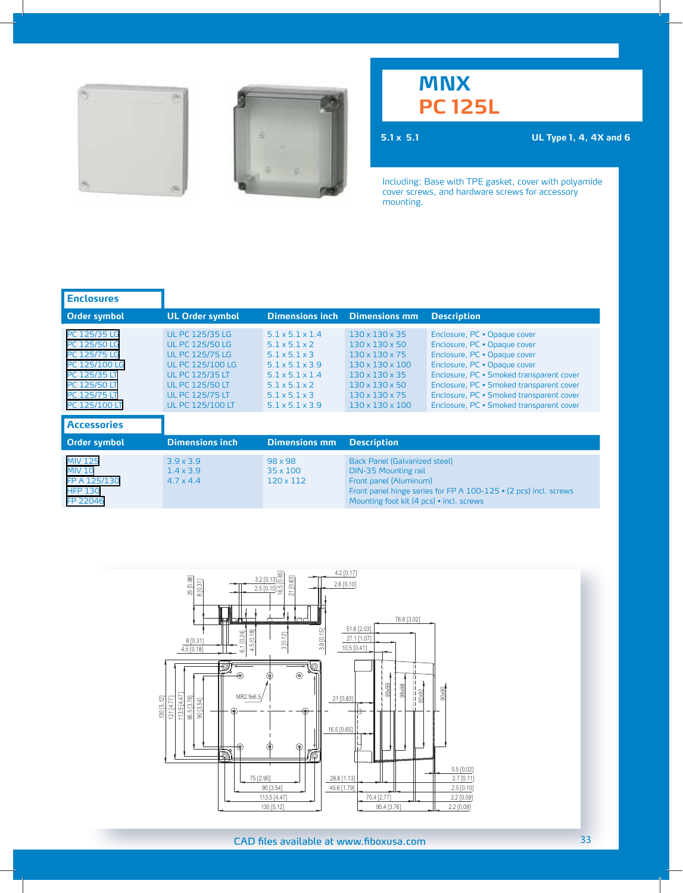



## **MNX PC 125L**

**5.1 x 5.1 UL Type 1, 4, 4X and 6**

| <b>Enclosures</b>                                                                                                                     |                                                                                                                                                                                                         |                                                                                                                                                                                                                                              |                                                                                                                                                                                                                        |                                                                                                                                                                                                                                                                                                              |
|---------------------------------------------------------------------------------------------------------------------------------------|---------------------------------------------------------------------------------------------------------------------------------------------------------------------------------------------------------|----------------------------------------------------------------------------------------------------------------------------------------------------------------------------------------------------------------------------------------------|------------------------------------------------------------------------------------------------------------------------------------------------------------------------------------------------------------------------|--------------------------------------------------------------------------------------------------------------------------------------------------------------------------------------------------------------------------------------------------------------------------------------------------------------|
| Order symbol                                                                                                                          | <b>UL Order symbol</b>                                                                                                                                                                                  | <b>Dimensions inch</b>                                                                                                                                                                                                                       | <b>Dimensions mm</b>                                                                                                                                                                                                   | <b>Description</b>                                                                                                                                                                                                                                                                                           |
| PC 125/35 LG<br>PC 125/50 LG<br>PC 125/75 LG<br>PC 125/100 LG<br>PC 125/35 LT<br>PC 125/50 LT<br><b>PC 125/75 LT</b><br>PC 125/100 LT | <b>UL PC 125/35 LG</b><br><b>UL PC 125/50 LG</b><br><b>UL PC 125/75 LG</b><br>UL PC 125/100 LG<br><b>UL PC 125/35 LT</b><br><b>UL PC 125/50 LT</b><br><b>UL PC 125/75 LT</b><br><b>UL PC 125/100 LT</b> | $5.1 \times 5.1 \times 1.4$<br>$5.1 \times 5.1 \times 2$<br>$5.1 \times 5.1 \times 3$<br>$5.1 \times 5.1 \times 3.9$<br>$5.1 \times 5.1 \times 1.4$<br>$5.1 \times 5.1 \times 2$<br>$5.1 \times 5.1 \times 3$<br>$5.1 \times 5.1 \times 3.9$ | $130 \times 130 \times 35$<br>$130 \times 130 \times 50$<br>$130 \times 130 \times 75$<br>130 x 130 x 100<br>$130 \times 130 \times 35$<br>$130 \times 130 \times 50$<br>$130 \times 130 \times 75$<br>130 x 130 x 100 | Enclosure, PC . Opaque cover<br>Enclosure, PC · Opaque cover<br>Enclosure, PC . Opaque cover<br>Enclosure, PC . Opaque cover<br>Enclosure, PC · Smoked transparent cover<br>Enclosure, PC • Smoked transparent cover<br>Enclosure, PC · Smoked transparent cover<br>Enclosure, PC · Smoked transparent cover |
| <b>Accessories</b>                                                                                                                    |                                                                                                                                                                                                         |                                                                                                                                                                                                                                              |                                                                                                                                                                                                                        |                                                                                                                                                                                                                                                                                                              |
| <b>Order symbol</b>                                                                                                                   | <b>Dimensions inch</b>                                                                                                                                                                                  | <b>Dimensions mm</b>                                                                                                                                                                                                                         | <b>Description</b>                                                                                                                                                                                                     |                                                                                                                                                                                                                                                                                                              |
| <b>MIV 125</b><br><b>MIV 10</b><br>FP A 125/130<br><b>HFP 130</b><br>FP 22046                                                         | $3.9 \times 3.9$<br>$1.4 \times 3.9$<br>$4.7 \times 4.4$                                                                                                                                                | $98 \times 98$<br>$35 \times 100$<br>$120 \times 112$                                                                                                                                                                                        | Back Panel (Galvanized steel)<br><b>DIN-35 Mounting rail</b><br>Front panel (Aluminum)<br>Front panel hinge series for FP A 100-125 • (2 pcs) incl. screws<br>Mounting foot kit (4 pcs) · incl. screws                 |                                                                                                                                                                                                                                                                                                              |

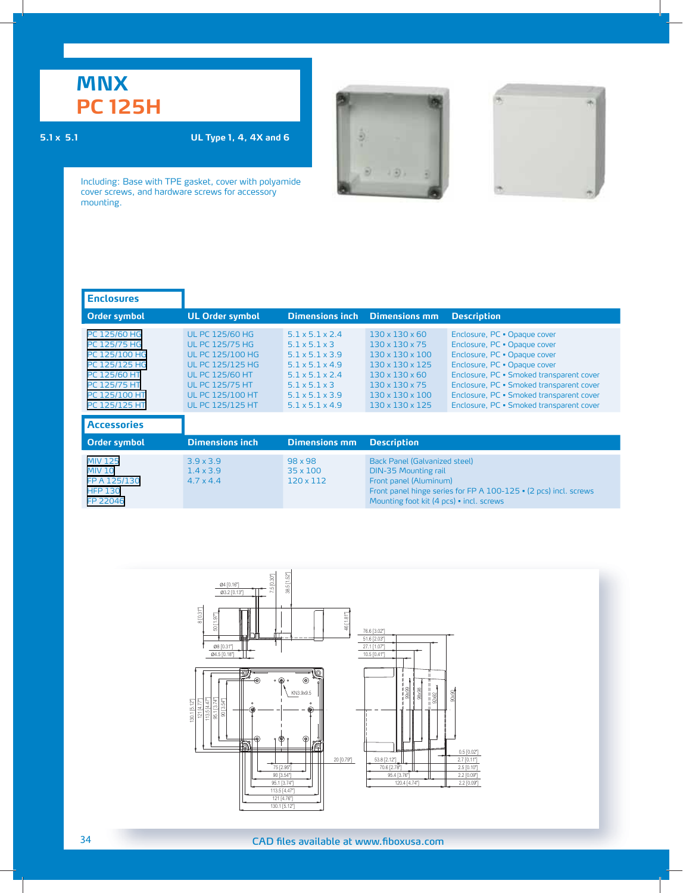# **MNX PC 125H**

### **5.1 x 5.1 UL Type 1, 4, 4X and 6**





| <b>Enclosures</b>                                                                                                                |                                                                                                                                                                                                                  |                                                                                                                                                                                                                                                  |                                                                                                                                                                                                                          |                                                                                                                                                                                                                                                                                                              |
|----------------------------------------------------------------------------------------------------------------------------------|------------------------------------------------------------------------------------------------------------------------------------------------------------------------------------------------------------------|--------------------------------------------------------------------------------------------------------------------------------------------------------------------------------------------------------------------------------------------------|--------------------------------------------------------------------------------------------------------------------------------------------------------------------------------------------------------------------------|--------------------------------------------------------------------------------------------------------------------------------------------------------------------------------------------------------------------------------------------------------------------------------------------------------------|
| <b>Order symbol</b>                                                                                                              | <b>UL Order symbol</b>                                                                                                                                                                                           | <b>Dimensions inch</b>                                                                                                                                                                                                                           | <b>Dimensions mm</b>                                                                                                                                                                                                     | <b>Description</b>                                                                                                                                                                                                                                                                                           |
| PC 125/60 HG<br>PC 125/75 HG<br>PC 125/100 HG<br>PC 125/125 HG<br>PC 125/60 HT<br>PC 125/75 HT<br>PC 125/100 HT<br>PC 125/125 HT | <b>UL PC 125/60 HG</b><br><b>UL PC 125/75 HG</b><br><b>UL PC 125/100 HG</b><br><b>UL PC 125/125 HG</b><br><b>UL PC 125/60 HT</b><br><b>UL PC 125/75 HT</b><br><b>UL PC 125/100 HT</b><br><b>UL PC 125/125 HT</b> | $5.1 \times 5.1 \times 2.4$<br>$5.1 \times 5.1 \times 3$<br>$5.1 \times 5.1 \times 3.9$<br>$5.1 \times 5.1 \times 4.9$<br>$5.1 \times 5.1 \times 2.4$<br>$5.1 \times 5.1 \times 3$<br>$5.1 \times 5.1 \times 3.9$<br>$5.1 \times 5.1 \times 4.9$ | $130 \times 130 \times 60$<br>$130 \times 130 \times 75$<br>130 x 130 x 100<br>$130 \times 130 \times 125$<br>$130 \times 130 \times 60$<br>$130 \times 130 \times 75$<br>130 x 130 x 100<br>$130 \times 130 \times 125$ | Enclosure, PC . Opaque cover<br>Enclosure, PC . Opaque cover<br>Enclosure, PC . Opaque cover<br>Enclosure, PC . Opaque cover<br>Enclosure, PC · Smoked transparent cover<br>Enclosure, PC · Smoked transparent cover<br>Enclosure, PC · Smoked transparent cover<br>Enclosure, PC · Smoked transparent cover |
| <b>Accessories</b>                                                                                                               |                                                                                                                                                                                                                  |                                                                                                                                                                                                                                                  |                                                                                                                                                                                                                          |                                                                                                                                                                                                                                                                                                              |
| <b>Order symbol</b>                                                                                                              | <b>Dimensions inch</b>                                                                                                                                                                                           | <b>Dimensions mm</b>                                                                                                                                                                                                                             | <b>Description</b>                                                                                                                                                                                                       |                                                                                                                                                                                                                                                                                                              |
| <b>MIV 125</b><br><b>MIV 10</b><br>FP A 125/130<br><b>HFP 130</b><br>FP 22046                                                    | $3.9 \times 3.9$<br>$1.4 \times 3.9$<br>$4.7 \times 4.4$                                                                                                                                                         | $98 \times 98$<br>$35 \times 100$<br>120 x 112                                                                                                                                                                                                   | Back Panel (Galvanized steel)<br><b>DIN-35 Mounting rail</b><br>Front panel (Aluminum)<br>Front panel hinge series for FP A 100-125 • (2 pcs) incl. screws<br>Mounting foot kit (4 pcs) · incl. screws                   |                                                                                                                                                                                                                                                                                                              |

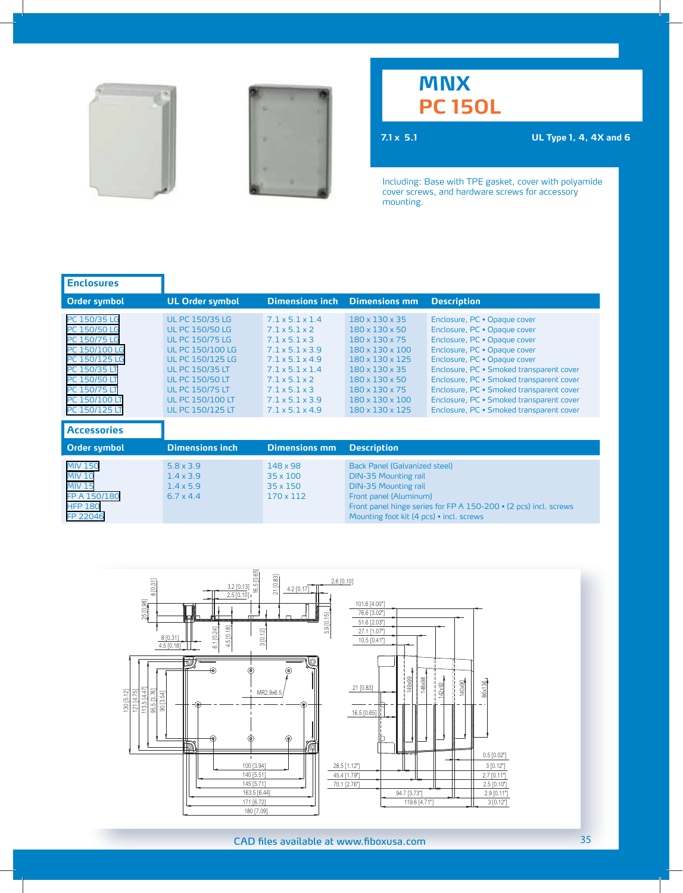



## **MNX PC 150L**

**7.1 x 5.1 UL Type 1, 4, 4X and 6**

| <b>Enclosures</b>                                                                                                                                                |                                                                                                                                                                                                                                                                      |                                                                                                                                                                                                                                                                                         |                                                                                                                                                                                                                                              |                                                                                                                                                                                                                                                                                                                                                                                          |  |
|------------------------------------------------------------------------------------------------------------------------------------------------------------------|----------------------------------------------------------------------------------------------------------------------------------------------------------------------------------------------------------------------------------------------------------------------|-----------------------------------------------------------------------------------------------------------------------------------------------------------------------------------------------------------------------------------------------------------------------------------------|----------------------------------------------------------------------------------------------------------------------------------------------------------------------------------------------------------------------------------------------|------------------------------------------------------------------------------------------------------------------------------------------------------------------------------------------------------------------------------------------------------------------------------------------------------------------------------------------------------------------------------------------|--|
| Order symbol                                                                                                                                                     | <b>UL Order symbol</b>                                                                                                                                                                                                                                               | <b>Dimensions inch</b>                                                                                                                                                                                                                                                                  | <b>Dimensions mm</b>                                                                                                                                                                                                                         | <b>Description</b>                                                                                                                                                                                                                                                                                                                                                                       |  |
| PC 150/35 LG<br>PC 150/50 LG<br>PC 150/75 LG<br>PC 150/100 LG<br>PC 150/125 LG<br>PC 150/35 LT<br>PC 150/50 LT<br>PC 150/75 LT<br>PC 150/100 LT<br>PC 150/125 LT | <b>UL PC 150/35 LG</b><br><b>UL PC 150/50 LG</b><br><b>UL PC 150/75 LG</b><br><b>UL PC 150/100 LG</b><br><b>UL PC 150/125 LG</b><br><b>UL PC 150/35 LT</b><br><b>UL PC 150/50 LT</b><br><b>UL PC 150/75 LT</b><br><b>UL PC 150/100 LT</b><br><b>UL PC 150/125 LT</b> | 71x51x14<br>$7.1 \times 5.1 \times 2$<br>$7.1 \times 5.1 \times 3$<br>$7.1 \times 5.1 \times 3.9$<br>$7.1 \times 5.1 \times 4.9$<br>$7.1 \times 5.1 \times 1.4$<br>$7.1 \times 5.1 \times 2$<br>$7.1 \times 5.1 \times 3$<br>$7.1 \times 5.1 \times 3.9$<br>$7.1 \times 5.1 \times 4.9$ | 180 x 130 x 35<br>$180 \times 130 \times 50$<br>180 x 130 x 75<br>180 x 130 x 100<br>180 x 130 x 125<br>$180 \times 130 \times 35$<br>$180 \times 130 \times 50$<br>180 x 130 x 75<br>180 x 130 x 100<br>180 x 130 x 125                     | Enclosure, PC . Opaque cover<br>Enclosure, PC · Opaque cover<br>Enclosure, PC · Opaque cover<br>Enclosure, PC · Opaque cover<br>Enclosure, PC . Opaque cover<br>Enclosure, PC · Smoked transparent cover<br>Enclosure, PC · Smoked transparent cover<br>Enclosure, PC · Smoked transparent cover<br>Enclosure, PC · Smoked transparent cover<br>Enclosure, PC · Smoked transparent cover |  |
| <b>Accessories</b>                                                                                                                                               |                                                                                                                                                                                                                                                                      |                                                                                                                                                                                                                                                                                         |                                                                                                                                                                                                                                              |                                                                                                                                                                                                                                                                                                                                                                                          |  |
| <b>Order symbol</b>                                                                                                                                              | <b>Dimensions inch</b>                                                                                                                                                                                                                                               | <b>Dimensions mm</b>                                                                                                                                                                                                                                                                    | <b>Description</b>                                                                                                                                                                                                                           |                                                                                                                                                                                                                                                                                                                                                                                          |  |
| <b>MIV 150</b><br><b>MIV 10</b><br><b>MIV 15</b><br>FP A 150/180<br><b>HFP 180</b><br>FP 22046                                                                   | $5.8 \times 3.9$<br>$1.4 \times 3.9$<br>$1.4 \times 5.9$<br>$6.7 \times 4.4$                                                                                                                                                                                         | 148 x 98<br>$35 \times 100$<br>$35 \times 150$<br>170 x 112                                                                                                                                                                                                                             | <b>Back Panel (Galvanized steel)</b><br><b>DIN-35 Mounting rail</b><br><b>DIN-35 Mounting rail</b><br>Front panel (Aluminum)<br>Front panel hinge series for FP A 150-200 • (2 pcs) incl. screws<br>Mounting foot kit (4 pcs) · incl. screws |                                                                                                                                                                                                                                                                                                                                                                                          |  |

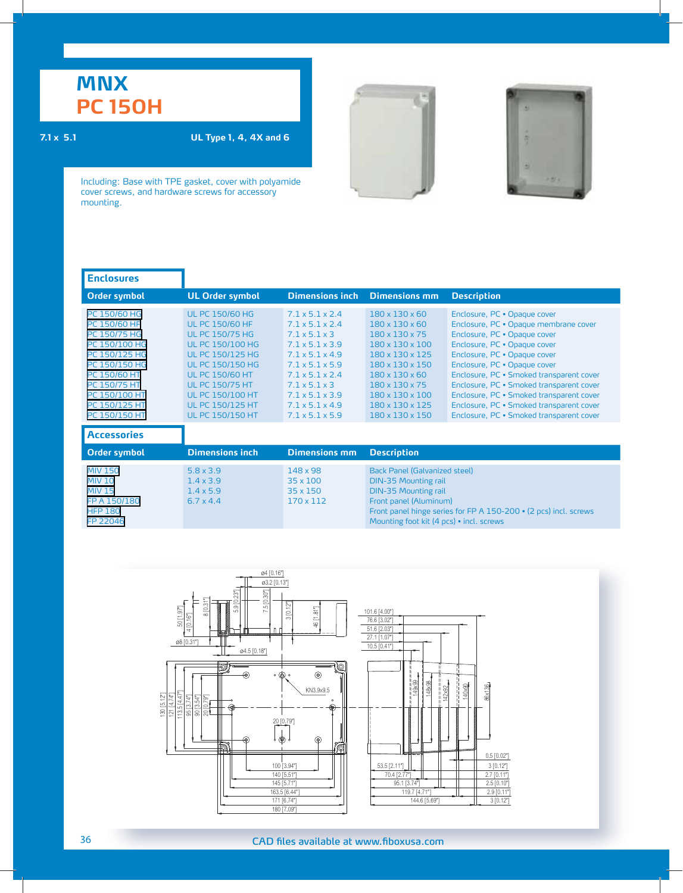# **MNX PC 150H**

### **7.1 x 5.1 UL Type 1, 4, 4X and 6**





| <b>Enclosures</b>                                                                                                                                                                  |                                                                                                                                                                                                                                                                                                  |                                                                                                                                                                                                                                                                                                                                               |                                                                                                                                                                                                                                                                                                                      |                                                                                                                                                                                                                                                                                                                                                                                                                                   |
|------------------------------------------------------------------------------------------------------------------------------------------------------------------------------------|--------------------------------------------------------------------------------------------------------------------------------------------------------------------------------------------------------------------------------------------------------------------------------------------------|-----------------------------------------------------------------------------------------------------------------------------------------------------------------------------------------------------------------------------------------------------------------------------------------------------------------------------------------------|----------------------------------------------------------------------------------------------------------------------------------------------------------------------------------------------------------------------------------------------------------------------------------------------------------------------|-----------------------------------------------------------------------------------------------------------------------------------------------------------------------------------------------------------------------------------------------------------------------------------------------------------------------------------------------------------------------------------------------------------------------------------|
| <b>Order symbol</b>                                                                                                                                                                | <b>UL Order symbol</b>                                                                                                                                                                                                                                                                           | <b>Dimensions inch</b>                                                                                                                                                                                                                                                                                                                        | <b>Dimensions mm</b>                                                                                                                                                                                                                                                                                                 | <b>Description</b>                                                                                                                                                                                                                                                                                                                                                                                                                |
| PC 150/60 HG<br>PC 150/60 HF<br>PC 150/75 HG<br>PC 150/100 HG<br>PC 150/125 HG<br>PC 150/150 HG<br>PC 150/60 HT<br>PC 150/75 HT<br>PC 150/100 HT<br>PC 150/125 HT<br>PC 150/150 HT | <b>UL PC 150/60 HG</b><br><b>UL PC 150/60 HF</b><br><b>UL PC 150/75 HG</b><br><b>UL PC 150/100 HG</b><br><b>UL PC 150/125 HG</b><br><b>UL PC 150/150 HG</b><br><b>UL PC 150/60 HT</b><br><b>UL PC 150/75 HT</b><br><b>UL PC 150/100 HT</b><br><b>UL PC 150/125 HT</b><br><b>UL PC 150/150 HT</b> | $7.1 \times 5.1 \times 2.4$<br>$7.1 \times 5.1 \times 2.4$<br>$7.1 \times 5.1 \times 3$<br>$7.1 \times 5.1 \times 3.9$<br>$7.1 \times 5.1 \times 4.9$<br>$7.1 \times 5.1 \times 5.9$<br>$7.1 \times 5.1 \times 2.4$<br>$7.1 \times 5.1 \times 3$<br>$7.1 \times 5.1 \times 3.9$<br>$7.1 \times 5.1 \times 4.9$<br>$7.1 \times 5.1 \times 5.9$ | $180 \times 130 \times 60$<br>$180 \times 130 \times 60$<br>$180 \times 130 \times 75$<br>$180 \times 130 \times 100$<br>$180 \times 130 \times 125$<br>180 x 130 x 150<br>$180 \times 130 \times 60$<br>$180 \times 130 \times 75$<br>$180 \times 130 \times 100$<br>180 x 130 x 125<br>$180 \times 130 \times 150$ | Enclosure, PC . Opaque cover<br>Enclosure, PC · Opaque membrane cover<br>Enclosure, PC . Opaque cover<br>Enclosure, PC . Opaque cover<br>Enclosure, PC . Opaque cover<br>Enclosure, PC . Opaque cover<br>Enclosure, PC · Smoked transparent cover<br>Enclosure, PC · Smoked transparent cover<br>Enclosure, PC · Smoked transparent cover<br>Enclosure, PC · Smoked transparent cover<br>Enclosure, PC · Smoked transparent cover |
| <b>Accessories</b>                                                                                                                                                                 |                                                                                                                                                                                                                                                                                                  |                                                                                                                                                                                                                                                                                                                                               |                                                                                                                                                                                                                                                                                                                      |                                                                                                                                                                                                                                                                                                                                                                                                                                   |
| <b>Order symbol</b>                                                                                                                                                                | <b>Dimensions inch</b>                                                                                                                                                                                                                                                                           | <b>Dimensions mm</b>                                                                                                                                                                                                                                                                                                                          | <b>Description</b>                                                                                                                                                                                                                                                                                                   |                                                                                                                                                                                                                                                                                                                                                                                                                                   |
| <b>MIV 150</b><br><b>MIV 10</b><br><b>MIV 15</b><br>FP A 150/180<br><b>HFP 180</b><br>FP 22046                                                                                     | $5.8 \times 3.9$<br>$1.4 \times 3.9$<br>$1.4 \times 5.9$<br>$6.7 \times 4.4$                                                                                                                                                                                                                     | 148 x 98<br>$35 \times 100$<br>35 x 150<br>170 x 112                                                                                                                                                                                                                                                                                          | <b>Back Panel (Galvanized steel)</b><br><b>DIN-35 Mounting rail</b><br><b>DIN-35 Mounting rail</b><br>Front panel (Aluminum)<br>Front panel hinge series for FP A 150-200 • (2 pcs) incl. screws<br>Mounting foot kit (4 pcs) • incl. screws                                                                         |                                                                                                                                                                                                                                                                                                                                                                                                                                   |

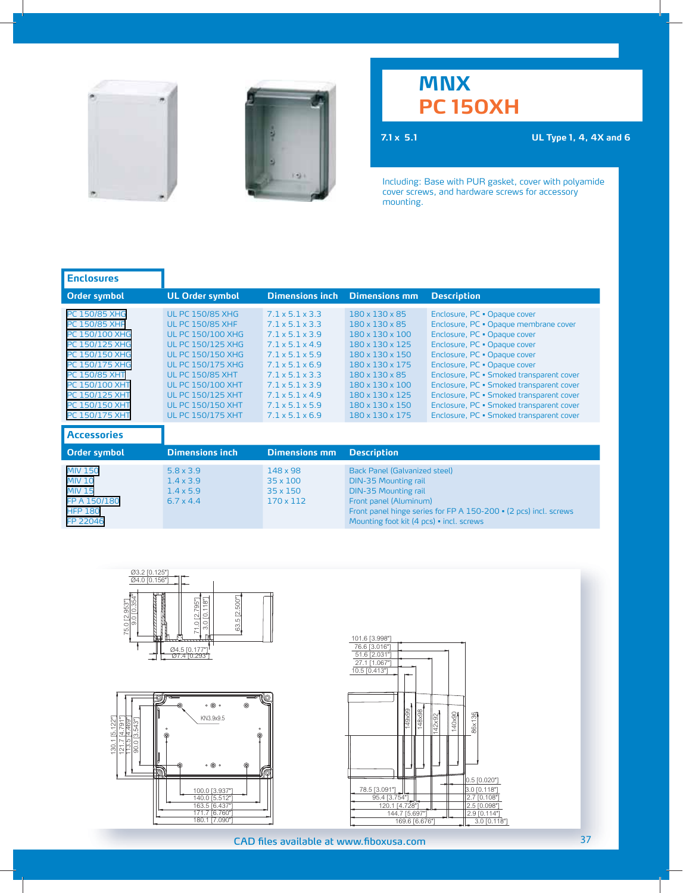



## **MNX PC 150XH**

**7.1 x 5.1 UL Type 1, 4, 4X and 6**

| <b>UL Order symbol</b>                                                                                                                                                                                                                                                                                        | <b>Dimensions inch</b>                                                                                                                                                                                                                                                                                                                            | <b>Dimensions mm</b>                                                                                                                                                                                                                         | <b>Description</b>                                                                                                                                                                                                                                                                                                                                                                                                                |
|---------------------------------------------------------------------------------------------------------------------------------------------------------------------------------------------------------------------------------------------------------------------------------------------------------------|---------------------------------------------------------------------------------------------------------------------------------------------------------------------------------------------------------------------------------------------------------------------------------------------------------------------------------------------------|----------------------------------------------------------------------------------------------------------------------------------------------------------------------------------------------------------------------------------------------|-----------------------------------------------------------------------------------------------------------------------------------------------------------------------------------------------------------------------------------------------------------------------------------------------------------------------------------------------------------------------------------------------------------------------------------|
| <b>UL PC 150/85 XHG</b><br><b>UL PC 150/85 XHF</b><br><b>UL PC 150/100 XHG</b><br><b>UL PC 150/125 XHG</b><br><b>UL PC 150/150 XHG</b><br><b>UL PC 150/175 XHG</b><br><b>UL PC 150/85 XHT</b><br><b>UL PC 150/100 XHT</b><br><b>UL PC 150/125 XHT</b><br><b>UL PC 150/150 XHT</b><br><b>UL PC 150/175 XHT</b> | $7.1 \times 5.1 \times 3.3$<br>$7.1 \times 5.1 \times 3.3$<br>$7.1 \times 5.1 \times 3.9$<br>$7.1 \times 5.1 \times 4.9$<br>$7.1 \times 5.1 \times 5.9$<br>$7.1 \times 5.1 \times 6.9$<br>$7.1 \times 5.1 \times 3.3$<br>$7.1 \times 5.1 \times 3.9$<br>$7.1 \times 5.1 \times 4.9$<br>$7.1 \times 5.1 \times 5.9$<br>$7.1 \times 5.1 \times 6.9$ | 180 x 130 x 85<br>180 x 130 x 85<br>180 x 130 x 100<br>180 x 130 x 125<br>180 x 130 x 150<br>180 x 130 x 175<br>180 x 130 x 85<br>180 x 130 x 100<br>180 x 130 x 125<br>180 x 130 x 150<br>180 x 130 x 175                                   | Enclosure, PC . Opaque cover<br>Enclosure, PC · Opaque membrane cover<br>Enclosure, PC · Opaque cover<br>Enclosure, PC . Opaque cover<br>Enclosure, PC . Opaque cover<br>Enclosure, PC . Opaque cover<br>Enclosure, PC · Smoked transparent cover<br>Enclosure, PC · Smoked transparent cover<br>Enclosure, PC · Smoked transparent cover<br>Enclosure, PC · Smoked transparent cover<br>Enclosure, PC · Smoked transparent cover |
|                                                                                                                                                                                                                                                                                                               |                                                                                                                                                                                                                                                                                                                                                   |                                                                                                                                                                                                                                              |                                                                                                                                                                                                                                                                                                                                                                                                                                   |
| <b>Dimensions inch</b>                                                                                                                                                                                                                                                                                        | <b>Dimensions mm</b>                                                                                                                                                                                                                                                                                                                              | <b>Description</b>                                                                                                                                                                                                                           |                                                                                                                                                                                                                                                                                                                                                                                                                                   |
| $5.8 \times 3.9$<br>$1.4 \times 3.9$<br>$1.4 \times 5.9$<br>$6.7 \times 4.4$                                                                                                                                                                                                                                  | 148 x 98<br>35 x 100<br>$35 \times 150$<br>170 x 112                                                                                                                                                                                                                                                                                              | <b>Back Panel (Galvanized steel)</b><br><b>DIN-35 Mounting rail</b><br><b>DIN-35 Mounting rail</b><br>Front panel (Aluminum)<br>Front panel hinge series for FP A 150-200 • (2 pcs) incl. screws<br>Mounting foot kit (4 pcs) · incl. screws |                                                                                                                                                                                                                                                                                                                                                                                                                                   |
|                                                                                                                                                                                                                                                                                                               |                                                                                                                                                                                                                                                                                                                                                   |                                                                                                                                                                                                                                              |                                                                                                                                                                                                                                                                                                                                                                                                                                   |





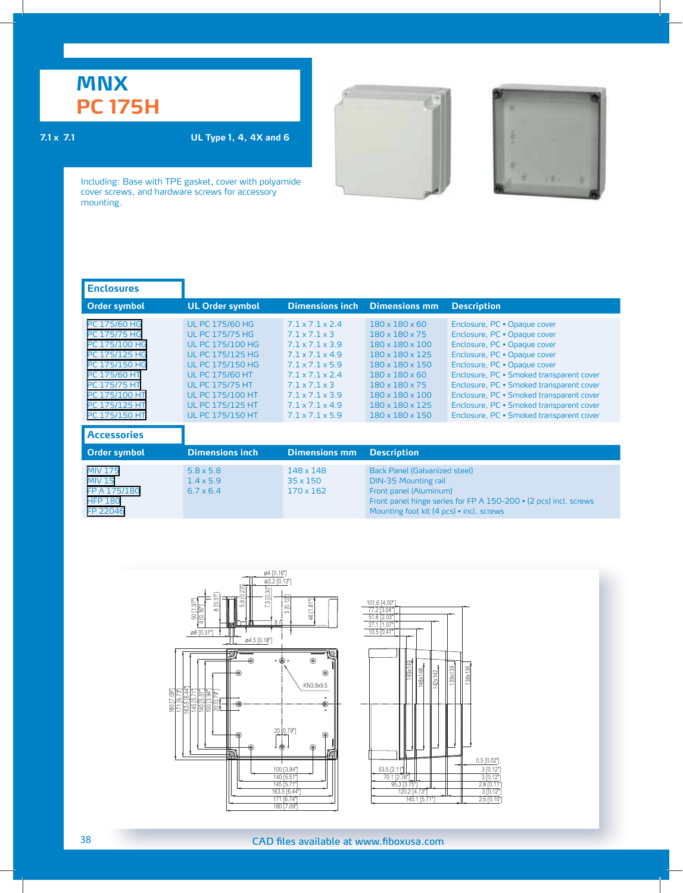## **MNX PC 175H**

### **7.1 x 7.1 UL Type 1, 4, 4X and 6**

Including: Base with TPE gasket, cover with polyamide cover screws, and hardware screws for accessory mounting.

| <b>Enclosures</b>                                                                                                                                                  |                                                                                                                                                                                                                                                                        |                                                                                                                                                                                                                                                                                                                |                                                                                                                                                                                                               |                                                                                                                                                                                                                                                                                                                                                                                          |
|--------------------------------------------------------------------------------------------------------------------------------------------------------------------|------------------------------------------------------------------------------------------------------------------------------------------------------------------------------------------------------------------------------------------------------------------------|----------------------------------------------------------------------------------------------------------------------------------------------------------------------------------------------------------------------------------------------------------------------------------------------------------------|---------------------------------------------------------------------------------------------------------------------------------------------------------------------------------------------------------------|------------------------------------------------------------------------------------------------------------------------------------------------------------------------------------------------------------------------------------------------------------------------------------------------------------------------------------------------------------------------------------------|
| <b>Order symbol</b>                                                                                                                                                | <b>UL Order symbol</b>                                                                                                                                                                                                                                                 | <b>Dimensions inch</b>                                                                                                                                                                                                                                                                                         | <b>Dimensions mm</b>                                                                                                                                                                                          | <b>Description</b>                                                                                                                                                                                                                                                                                                                                                                       |
| PC 175/60 HG<br>PC 175/75 HG<br>PC 175/100 HG<br>PC 175/125 HG<br>PC 175/150 HG<br>PC 175/60 HT<br>PC 175/75 HT<br>PC 175/100 HT<br>PC 175/125 HT<br>PC 175/150 HT | <b>UL PC 175/60 HG</b><br><b>UL PC 175/75 HG</b><br><b>UL PC 175/100 HG</b><br><b>UL PC 175/125 HG</b><br><b>UL PC 175/150 HG</b><br><b>UL PC 175/60 HT</b><br><b>UL PC 175/75 HT</b><br><b>UL PC 175/100 HT</b><br><b>UL PC 175/125 HT</b><br><b>UL PC 175/150 HT</b> | $7.1 \times 7.1 \times 2.4$<br>$7.1 \times 7.1 \times 3$<br>$7.1 \times 7.1 \times 3.9$<br>$7.1 \times 7.1 \times 4.9$<br>$7.1 \times 7.1 \times 5.9$<br>$7.1 \times 7.1 \times 2.4$<br>$7.1 \times 7.1 \times 3$<br>$7.1 \times 7.1 \times 3.9$<br>$7.1 \times 7.1 \times 4.9$<br>$7.1 \times 7.1 \times 5.9$ | 180 x 180 x 60<br>180 x 180 x 75<br>180 x 180 x 100<br>180 x 180 x 125<br>180 x 180 x 150<br>180 x 180 x 60<br>180 x 180 x 75<br>180 x 180 x 100<br>180 x 180 x 125<br>180 x 180 x 150                        | Enclosure, PC . Opaque cover<br>Enclosure, PC . Opaque cover<br>Enclosure, PC . Opaque cover<br>Enclosure, PC . Opaque cover<br>Enclosure, PC . Opaque cover<br>Enclosure, PC · Smoked transparent cover<br>Enclosure, PC · Smoked transparent cover<br>Enclosure, PC · Smoked transparent cover<br>Enclosure, PC · Smoked transparent cover<br>Enclosure, PC · Smoked transparent cover |
| <b>Accessories</b>                                                                                                                                                 |                                                                                                                                                                                                                                                                        |                                                                                                                                                                                                                                                                                                                |                                                                                                                                                                                                               |                                                                                                                                                                                                                                                                                                                                                                                          |
| <b>Order symbol</b>                                                                                                                                                | <b>Dimensions inch</b>                                                                                                                                                                                                                                                 | <b>Dimensions mm</b>                                                                                                                                                                                                                                                                                           | <b>Description</b>                                                                                                                                                                                            |                                                                                                                                                                                                                                                                                                                                                                                          |
| <b>MIV 175</b><br><b>MIV 15</b><br>FP A 175/180<br><b>HFP 180</b><br>FP 22046                                                                                      | $5.8 \times 5.8$<br>$1.4 \times 5.9$<br>$6.7 \times 6.4$                                                                                                                                                                                                               | 148 x 148<br>35 x 150<br>170 x 162                                                                                                                                                                                                                                                                             | <b>Back Panel (Galvanized steel)</b><br><b>DIN-35 Mounting rail</b><br>Front panel (Aluminum)<br>Front panel hinge series for FP A 150-200 · (2 pcs) incl. screws<br>Mounting foot kit (4 pcs) · incl. screws |                                                                                                                                                                                                                                                                                                                                                                                          |





ł

ä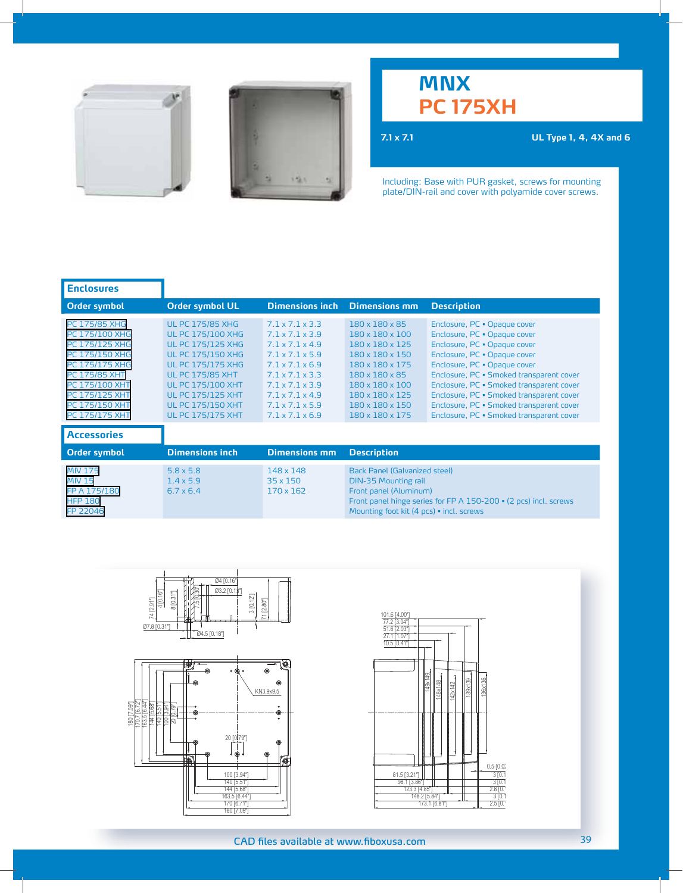



# **MNX PC 175XH**

**7.1 x 7.1 UL Type 1, 4, 4X and 6**

Including: Base with PUR gasket, screws for mounting plate/DIN-rail and cover with polyamide cover screws.

| <b>Enclosures</b>                                                                                                                                                                                                                             |                                                                                                                                                                                                                                                                                    |                                                                                                                                                                                                                                                                              |                                                                                                                                                                                          |                                                                                                                                                                                                                                                                                                                                                                                          |
|-----------------------------------------------------------------------------------------------------------------------------------------------------------------------------------------------------------------------------------------------|------------------------------------------------------------------------------------------------------------------------------------------------------------------------------------------------------------------------------------------------------------------------------------|------------------------------------------------------------------------------------------------------------------------------------------------------------------------------------------------------------------------------------------------------------------------------|------------------------------------------------------------------------------------------------------------------------------------------------------------------------------------------|------------------------------------------------------------------------------------------------------------------------------------------------------------------------------------------------------------------------------------------------------------------------------------------------------------------------------------------------------------------------------------------|
| <b>Order symbol</b>                                                                                                                                                                                                                           | <b>Order symbol UL</b>                                                                                                                                                                                                                                                             | <b>Dimensions inch</b>                                                                                                                                                                                                                                                       | <b>Dimensions mm</b>                                                                                                                                                                     | <b>Description</b>                                                                                                                                                                                                                                                                                                                                                                       |
| <b>PC 175/85 XHG</b><br><b>PC 175/100 XHG</b><br><b>PC 175/125 XHG</b><br>PC 175/150 XHG<br><b>PC 175/175 XHG</b><br><b>PC 175/85 XHT</b><br><b>PC 175/100 XHT</b><br><b>PC 175/125 XHT</b><br><b>PC 175/150 XHT</b><br><b>PC 175/175 XHT</b> | <b>UL PC 175/85 XHG</b><br><b>UL PC 175/100 XHG</b><br><b>UL PC 175/125 XHG</b><br><b>UL PC 175/150 XHG</b><br><b>UL PC 175/175 XHG</b><br><b>UL PC 175/85 XHT</b><br><b>UL PC 175/100 XHT</b><br><b>UL PC 175/125 XHT</b><br><b>UL PC 175/150 XHT</b><br><b>UL PC 175/175 XHT</b> | $7.1 \times 7.1 \times 3.3$<br>$7.1 \times 7.1 \times 3.9$<br>$7.1 \times 7.1 \times 4.9$<br>$7.1 \times 7.1 \times 5.9$<br>$7.1 \times 7.1 \times 6.9$<br>71x71x33<br>71x71x39<br>$7.1 \times 7.1 \times 4.9$<br>$7.1 \times 7.1 \times 5.9$<br>$7.1 \times 7.1 \times 6.9$ | 180 x 180 x 85<br>180 x 180 x 100<br>180 x 180 x 125<br>180 x 180 x 150<br>180 x 180 x 175<br>180 x 180 x 85<br>180 x 180 x 100<br>180 x 180 x 125<br>180 x 180 x 150<br>180 x 180 x 175 | Enclosure, PC . Opaque cover<br>Enclosure, PC . Opaque cover<br>Enclosure, PC · Opaque cover<br>Enclosure, PC · Opaque cover<br>Enclosure, PC . Opaque cover<br>Enclosure, PC · Smoked transparent cover<br>Enclosure, PC · Smoked transparent cover<br>Enclosure, PC · Smoked transparent cover<br>Enclosure, PC · Smoked transparent cover<br>Enclosure, PC · Smoked transparent cover |
| <b>Accessories</b>                                                                                                                                                                                                                            |                                                                                                                                                                                                                                                                                    |                                                                                                                                                                                                                                                                              |                                                                                                                                                                                          |                                                                                                                                                                                                                                                                                                                                                                                          |
| <b>Order symbol</b>                                                                                                                                                                                                                           | <b>Dimensions inch</b>                                                                                                                                                                                                                                                             | <b>Dimensions mm</b>                                                                                                                                                                                                                                                         | <b>Description</b>                                                                                                                                                                       |                                                                                                                                                                                                                                                                                                                                                                                          |
| <b>MIV 175</b><br><b>MIV 15</b><br>FP A 175/180<br><b>HFP 180</b><br>FP 22046                                                                                                                                                                 | $5.8 \times 5.8$<br>$1.4 \times 5.9$<br>$6.7 \times 6.4$                                                                                                                                                                                                                           | 148 x 148<br>35 x 150<br>170 x 162                                                                                                                                                                                                                                           | <b>Back Panel (Galvanized steel)</b><br><b>DIN-35 Mounting rail</b><br>Front panel (Aluminum)<br>Mounting foot kit (4 pcs) · incl. screws                                                | Front panel hinge series for FP A 150-200 • (2 pcs) incl. screws                                                                                                                                                                                                                                                                                                                         |





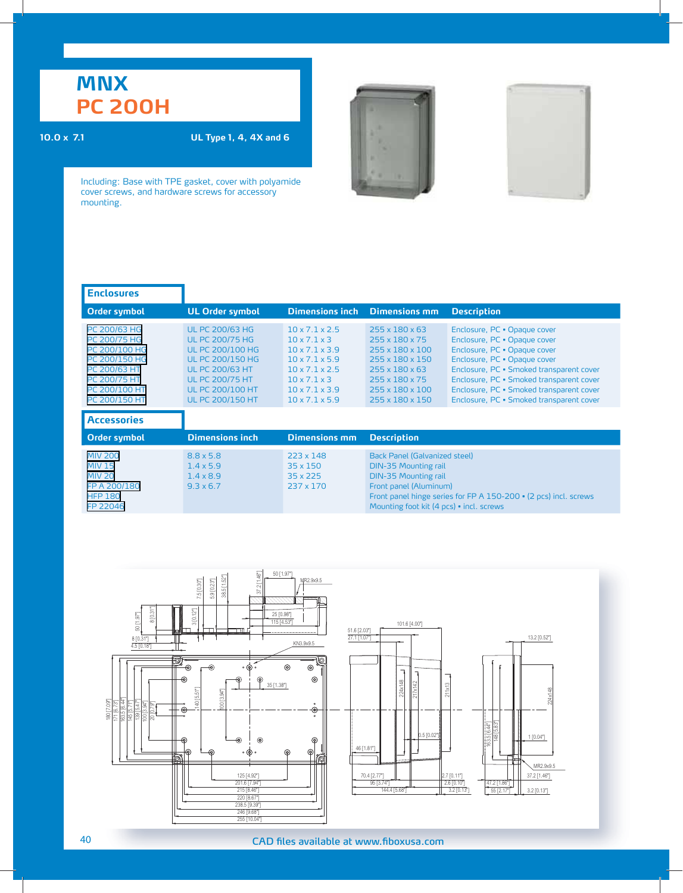# **MNX PC 200H**

### **10.0 x 7.1 UL Type 1, 4, 4X and 6**





| <b>Enclosures</b>                                                                                                                |                                                                                                                                                                                                                  |                                                                                                                                                                                                                                          |                                                                                                                                                                                                                                       |                                                                                                                                                                                                                                                                                                              |
|----------------------------------------------------------------------------------------------------------------------------------|------------------------------------------------------------------------------------------------------------------------------------------------------------------------------------------------------------------|------------------------------------------------------------------------------------------------------------------------------------------------------------------------------------------------------------------------------------------|---------------------------------------------------------------------------------------------------------------------------------------------------------------------------------------------------------------------------------------|--------------------------------------------------------------------------------------------------------------------------------------------------------------------------------------------------------------------------------------------------------------------------------------------------------------|
| <b>Order symbol</b>                                                                                                              | <b>UL Order symbol</b>                                                                                                                                                                                           | <b>Dimensions inch</b>                                                                                                                                                                                                                   | <b>Dimensions mm</b>                                                                                                                                                                                                                  | <b>Description</b>                                                                                                                                                                                                                                                                                           |
| PC 200/63 HG<br>PC 200/75 HG<br>PC 200/100 HG<br>PC 200/150 HG<br>PC 200/63 HT<br>PC 200/75 HT<br>PC 200/100 HT<br>PC 200/150 HT | <b>UL PC 200/63 HG</b><br><b>UL PC 200/75 HG</b><br><b>UL PC 200/100 HG</b><br><b>UL PC 200/150 HG</b><br><b>UL PC 200/63 HT</b><br><b>UL PC 200/75 HT</b><br><b>UL PC 200/100 HT</b><br><b>UL PC 200/150 HT</b> | $10 \times 7.1 \times 2.5$<br>$10 \times 7.1 \times 3$<br>$10 \times 7.1 \times 3.9$<br>$10 \times 7.1 \times 5.9$<br>$10 \times 7.1 \times 2.5$<br>$10 \times 7.1 \times 3$<br>$10 \times 7.1 \times 3.9$<br>$10 \times 7.1 \times 5.9$ | $255 \times 180 \times 63$<br>255 x 180 x 75<br>255 x 180 x 100<br>255 x 180 x 150<br>$255 \times 180 \times 63$<br>$255 \times 180 \times 75$<br>255 x 180 x 100<br>255 x 180 x 150                                                  | Enclosure, PC . Opaque cover<br>Enclosure, PC . Opaque cover<br>Enclosure, PC . Opaque cover<br>Enclosure, PC . Opaque cover<br>Enclosure, PC · Smoked transparent cover<br>Enclosure, PC · Smoked transparent cover<br>Enclosure, PC · Smoked transparent cover<br>Enclosure, PC · Smoked transparent cover |
| <b>Accessories</b>                                                                                                               |                                                                                                                                                                                                                  |                                                                                                                                                                                                                                          |                                                                                                                                                                                                                                       |                                                                                                                                                                                                                                                                                                              |
| Order symbol                                                                                                                     | <b>Dimensions inch</b>                                                                                                                                                                                           | <b>Dimensions mm</b>                                                                                                                                                                                                                     | <b>Description</b>                                                                                                                                                                                                                    |                                                                                                                                                                                                                                                                                                              |
| <b>MIV 200</b><br><b>MIV 15</b><br><b>MIV 20</b><br>FP A 200/180<br><b>HFP 180</b><br>FP 22046                                   | $8.8 \times 5.8$<br>$1.4 \times 5.9$<br>$1.4 \times 8.9$<br>$9.3 \times 6.7$                                                                                                                                     | 223 x 148<br>$35 \times 150$<br>35 x 225<br>237 x 170                                                                                                                                                                                    | Back Panel (Galvanized steel)<br><b>DIN-35 Mounting rail</b><br><b>DIN-35 Mounting rail</b><br>Front panel (Aluminum)<br>Front panel hinge series for FP A 150-200 • (2 pcs) incl. screws<br>Mounting foot kit (4 pcs) · incl. screws |                                                                                                                                                                                                                                                                                                              |

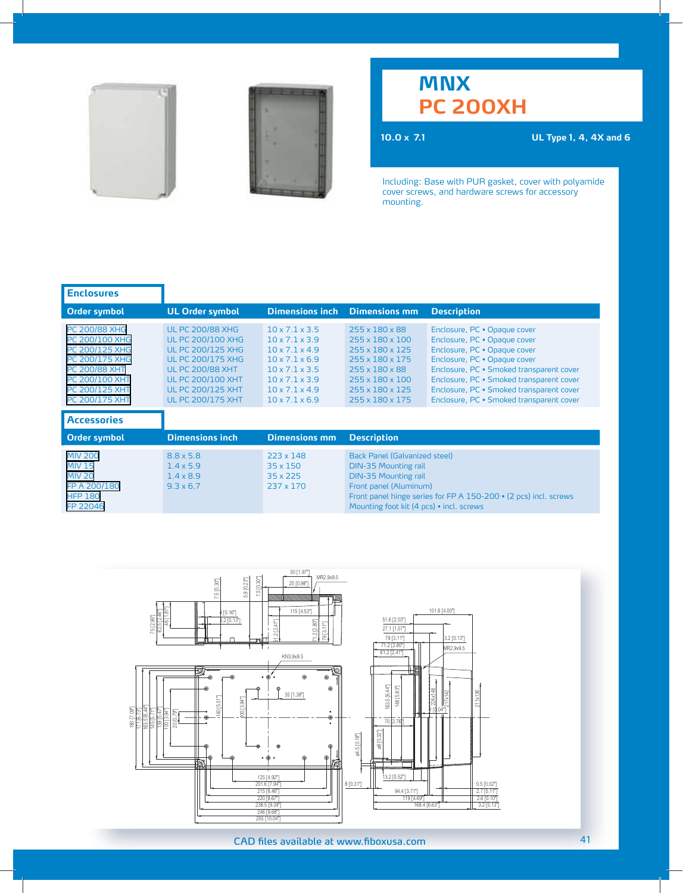



## **MNX PC 200XH**

**10.0 x 7.1 UL Type 1, 4, 4X and 6**

| <b>Enclosures</b>                                                                                                                                                             |                                                                                                                                                                                                                            |                                                                                                                                                                                                                            |                                                                                                                                                                          |                                                                                                                                                                                                                                                                                                              |
|-------------------------------------------------------------------------------------------------------------------------------------------------------------------------------|----------------------------------------------------------------------------------------------------------------------------------------------------------------------------------------------------------------------------|----------------------------------------------------------------------------------------------------------------------------------------------------------------------------------------------------------------------------|--------------------------------------------------------------------------------------------------------------------------------------------------------------------------|--------------------------------------------------------------------------------------------------------------------------------------------------------------------------------------------------------------------------------------------------------------------------------------------------------------|
| <b>Order symbol</b>                                                                                                                                                           | <b>UL Order symbol</b>                                                                                                                                                                                                     | <b>Dimensions inch</b>                                                                                                                                                                                                     | <b>Dimensions mm</b>                                                                                                                                                     | <b>Description</b>                                                                                                                                                                                                                                                                                           |
| <b>PC 200/88 XHG</b><br>PC 200/100 XHG<br>PC 200/125 XHG<br>PC 200/175 XHG<br><b>PC 200/88 XHT</b><br><b>PC 200/100 XHT</b><br><b>PC 200/125 XHT</b><br><b>PC 200/175 XHT</b> | <b>UL PC 200/88 XHG</b><br><b>UL PC 200/100 XHG</b><br><b>UL PC 200/125 XHG</b><br><b>UL PC 200/175 XHG</b><br><b>UL PC 200/88 XHT</b><br><b>UL PC 200/100 XHT</b><br><b>UL PC 200/125 XHT</b><br><b>UL PC 200/175 XHT</b> | $10 \times 7.1 \times 3.5$<br>$10 \times 7.1 \times 3.9$<br>$10 \times 7.1 \times 4.9$<br>$10 \times 7.1 \times 6.9$<br>$10 \times 7.1 \times 3.5$<br>$10 \times 7.1 \times 3.9$<br>10x71x49<br>$10 \times 7.1 \times 6.9$ | 255 x 180 x 88<br>255 x 180 x 100<br>255 x 180 x 125<br>255 x 180 x 175<br>$255 \times 180 \times 88$<br>255 x 180 x 100<br>255 x 180 x 125<br>255 x 180 x 175           | Enclosure, PC · Opaque cover<br>Enclosure, PC . Opaque cover<br>Enclosure, PC . Opaque cover<br>Enclosure, PC . Opaque cover<br>Enclosure, PC · Smoked transparent cover<br>Enclosure, PC · Smoked transparent cover<br>Enclosure, PC · Smoked transparent cover<br>Enclosure, PC · Smoked transparent cover |
| <b>Accessories</b>                                                                                                                                                            |                                                                                                                                                                                                                            |                                                                                                                                                                                                                            |                                                                                                                                                                          |                                                                                                                                                                                                                                                                                                              |
| Order symbol                                                                                                                                                                  | <b>Dimensions inch</b>                                                                                                                                                                                                     | <b>Dimensions mm</b>                                                                                                                                                                                                       | <b>Description</b>                                                                                                                                                       |                                                                                                                                                                                                                                                                                                              |
| <b>MIV 200</b><br><b>MIV 15</b><br><b>MIV 20</b><br>FP A 200/180<br><b>HFP 180</b><br>FP 22046                                                                                | $8.8 \times 5.8$<br>$1.4 \times 5.9$<br>$1.4 \times 8.9$<br>$9.3 \times 6.7$                                                                                                                                               | 223 x 148<br>35 x 150<br>35 x 225<br>237 x 170                                                                                                                                                                             | <b>Back Panel (Galvanized steel)</b><br><b>DIN-35 Mounting rail</b><br><b>DIN-35 Mounting rail</b><br>Front panel (Aluminum)<br>Mounting foot kit (4 pcs) • incl. screws | Front panel hinge series for FP A 150-200 • (2 pcs) incl. screws                                                                                                                                                                                                                                             |

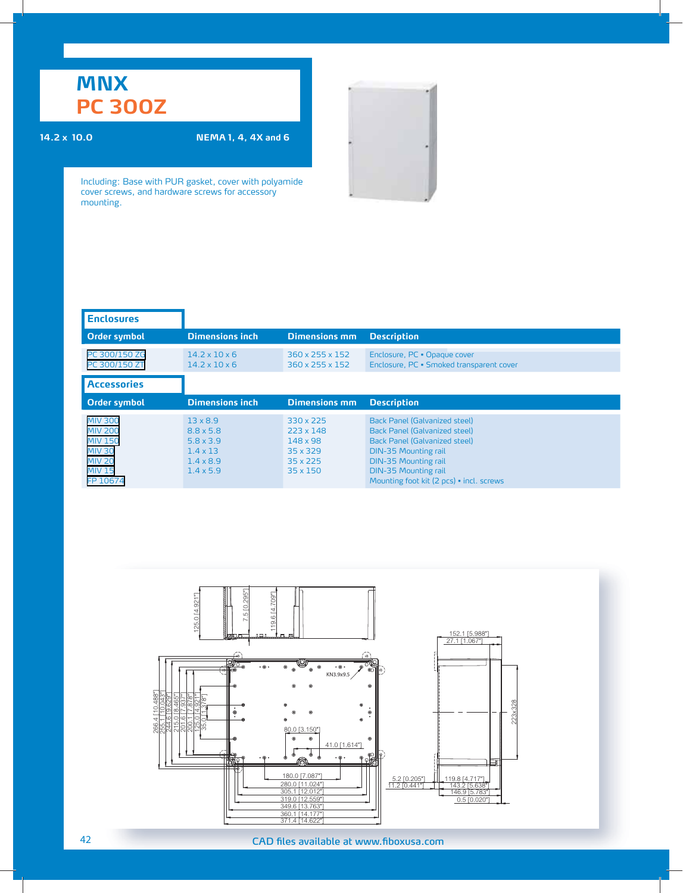## **MNX PC 300Z**

### **14.2 x 10.0 NEMA 1, 4, 4X and 6**

| <b>Enclosures</b>                                                                                                 |                                                                                                                    |                                                                                      |                                                                                                                                                                                                                                          |
|-------------------------------------------------------------------------------------------------------------------|--------------------------------------------------------------------------------------------------------------------|--------------------------------------------------------------------------------------|------------------------------------------------------------------------------------------------------------------------------------------------------------------------------------------------------------------------------------------|
| <b>Order symbol</b>                                                                                               | <b>Dimensions inch</b>                                                                                             | <b>Dimensions mm</b>                                                                 | <b>Description</b>                                                                                                                                                                                                                       |
| PC 300/150 ZG<br>PC 300/150 ZT                                                                                    | $14.2 \times 10 \times 6$<br>$14.2 \times 10 \times 6$                                                             | $360 \times 255 \times 152$<br>$360 \times 255 \times 152$                           | Enclosure, PC . Opaque cover<br>Enclosure, PC · Smoked transparent cover                                                                                                                                                                 |
| <b>Accessories</b>                                                                                                |                                                                                                                    |                                                                                      |                                                                                                                                                                                                                                          |
| Order symbol                                                                                                      | <b>Dimensions inch</b>                                                                                             | <b>Dimensions mm</b>                                                                 | <b>Description</b>                                                                                                                                                                                                                       |
| <b>MIV 300</b><br><b>MIV 200</b><br><b>MIV 150</b><br><b>MIV 30</b><br><b>MIV 20</b><br><b>MIV 15</b><br>FP 10674 | $13 \times 8.9$<br>$8.8 \times 5.8$<br>$5.8 \times 3.9$<br>$1.4 \times 13$<br>$1.4 \times 8.9$<br>$1.4 \times 5.9$ | 330 x 225<br>223 x 148<br>148 x 98<br>35 x 329<br>$35 \times 225$<br>$35 \times 150$ | Back Panel (Galvanized steel)<br>Back Panel (Galvanized steel)<br>Back Panel (Galvanized steel)<br><b>DIN-35 Mounting rail</b><br><b>DIN-35 Mounting rail</b><br><b>DIN-35 Mounting rail</b><br>Mounting foot kit (2 pcs) • incl. screws |

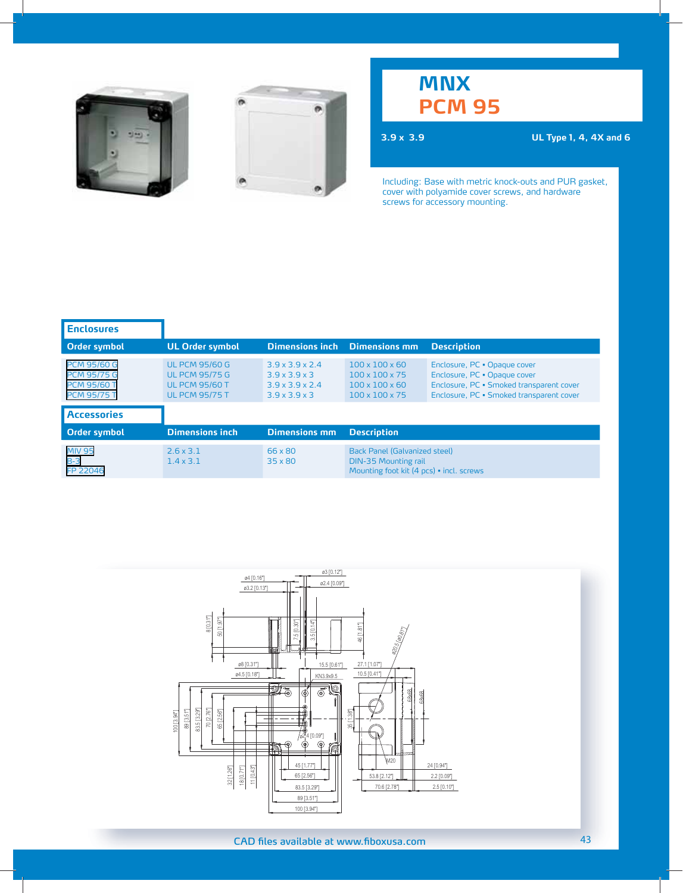



**3.9 x 3.9 UL Type 1, 4, 4X and 6**

| <b>Enclosures</b>                                                                    |                                                                                                  |                                                                                                                      |                                                                                                                      |                                                                                                                                                      |
|--------------------------------------------------------------------------------------|--------------------------------------------------------------------------------------------------|----------------------------------------------------------------------------------------------------------------------|----------------------------------------------------------------------------------------------------------------------|------------------------------------------------------------------------------------------------------------------------------------------------------|
| Order symbol                                                                         | <b>UL Order symbol</b>                                                                           | <b>Dimensions inch</b>                                                                                               | <b>Dimensions mm</b>                                                                                                 | <b>Description</b>                                                                                                                                   |
| <b>PCM 95/60 G</b><br><b>PCM 95/75 G</b><br><b>PCM 95/60 T</b><br><b>PCM 95/75 T</b> | <b>UL PCM 95/60 G</b><br><b>UL PCM 95/75 G</b><br><b>UL PCM 95/60 T</b><br><b>UL PCM 95/75 T</b> | $3.9 \times 3.9 \times 2.4$<br>$3.9 \times 3.9 \times 3$<br>$3.9 \times 3.9 \times 2.4$<br>$3.9 \times 3.9 \times 3$ | $100 \times 100 \times 60$<br>$100 \times 100 \times 75$<br>$100 \times 100 \times 60$<br>$100 \times 100 \times 75$ | Enclosure, PC . Opaque cover<br>Enclosure, PC . Opaque cover<br>Enclosure, PC · Smoked transparent cover<br>Enclosure, PC · Smoked transparent cover |
| <b>Accessories</b>                                                                   |                                                                                                  |                                                                                                                      |                                                                                                                      |                                                                                                                                                      |
| Order symbol                                                                         | <b>Dimensions inch</b>                                                                           | <b>Dimensions mm</b>                                                                                                 | <b>Description</b>                                                                                                   |                                                                                                                                                      |
| <b>MIV 95</b><br>$B-3$<br>FP 22046                                                   | $2.6 \times 3.1$<br>$1.4 \times 3.1$                                                             | 66 x 80<br>35 x 80                                                                                                   | <b>Back Panel (Galvanized steel)</b><br><b>DIN-35 Mounting rail</b><br>Mounting foot kit (4 pcs) · incl. screws      |                                                                                                                                                      |

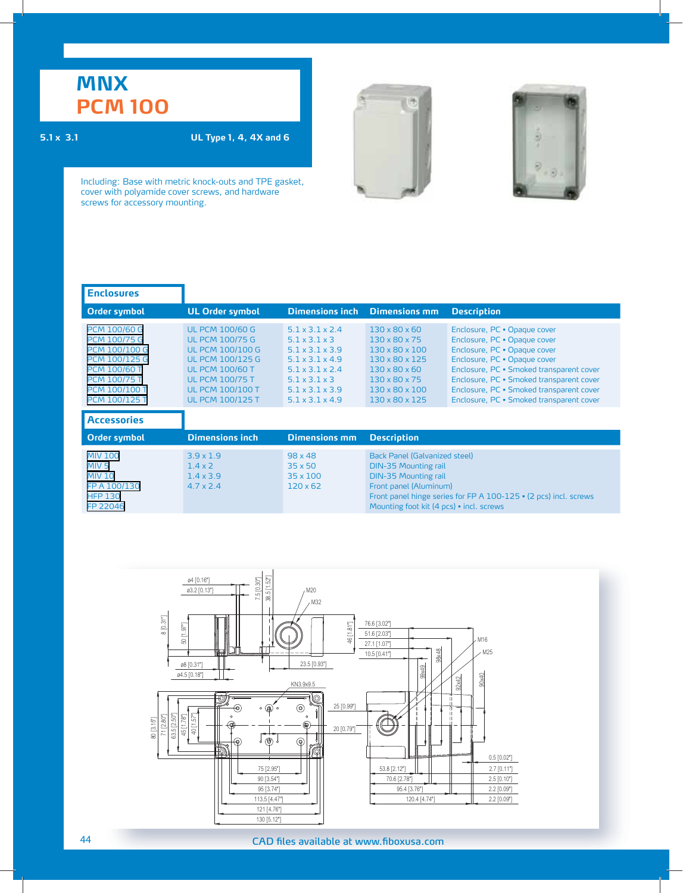### **5.1 x 3.1 UL Type 1, 4, 4X and 6**





| <b>Enclosures</b>                                                                                                                                                                 |                                                                                                                                                                                                                  |                                                                                                                                                                                                                                                  |                                                                                                                                                                                                                                       |                                                                                                                                                                                                                                                                                                              |
|-----------------------------------------------------------------------------------------------------------------------------------------------------------------------------------|------------------------------------------------------------------------------------------------------------------------------------------------------------------------------------------------------------------|--------------------------------------------------------------------------------------------------------------------------------------------------------------------------------------------------------------------------------------------------|---------------------------------------------------------------------------------------------------------------------------------------------------------------------------------------------------------------------------------------|--------------------------------------------------------------------------------------------------------------------------------------------------------------------------------------------------------------------------------------------------------------------------------------------------------------|
| <b>Order symbol</b>                                                                                                                                                               | <b>UL Order symbol</b>                                                                                                                                                                                           | <b>Dimensions inch</b>                                                                                                                                                                                                                           | <b>Dimensions mm</b>                                                                                                                                                                                                                  | <b>Description</b>                                                                                                                                                                                                                                                                                           |
| <b>PCM 100/60 G</b><br><b>PCM 100/75 G</b><br>PCM 100/100 G<br><b>PCM 100/125 G</b><br><b>PCM 100/60 T</b><br><b>PCM 100/75 T</b><br><b>PCM 100/100 T</b><br><b>PCM 100/125 T</b> | <b>UL PCM 100/60 G</b><br><b>UL PCM 100/75 G</b><br><b>UL PCM 100/100 G</b><br><b>UL PCM 100/125 G</b><br><b>UL PCM 100/60 T</b><br><b>UL PCM 100/75 T</b><br><b>UL PCM 100/100 T</b><br><b>UL PCM 100/125 T</b> | $5.1 \times 3.1 \times 2.4$<br>$5.1 \times 3.1 \times 3$<br>$5.1 \times 3.1 \times 3.9$<br>$5.1 \times 3.1 \times 4.9$<br>$5.1 \times 3.1 \times 2.4$<br>$5.1 \times 3.1 \times 3$<br>$5.1 \times 3.1 \times 3.9$<br>$5.1 \times 3.1 \times 4.9$ | $130 \times 80 \times 60$<br>$130 \times 80 \times 75$<br>$130 \times 80 \times 100$<br>130 x 80 x 125<br>$130 \times 80 \times 60$<br>130 x 80 x 75<br>$130 \times 80 \times 100$<br>$130 \times 80 \times 125$                      | Enclosure, PC . Opaque cover<br>Enclosure, PC . Opaque cover<br>Enclosure, PC . Opaque cover<br>Enclosure, PC . Opaque cover<br>Enclosure, PC · Smoked transparent cover<br>Enclosure, PC · Smoked transparent cover<br>Enclosure, PC · Smoked transparent cover<br>Enclosure, PC · Smoked transparent cover |
| <b>Accessories</b>                                                                                                                                                                |                                                                                                                                                                                                                  |                                                                                                                                                                                                                                                  |                                                                                                                                                                                                                                       |                                                                                                                                                                                                                                                                                                              |
| <b>Order symbol</b>                                                                                                                                                               | <b>Dimensions inch</b>                                                                                                                                                                                           | <b>Dimensions mm</b>                                                                                                                                                                                                                             | <b>Description</b>                                                                                                                                                                                                                    |                                                                                                                                                                                                                                                                                                              |
| <b>MIV 100</b><br>MIV <sub>5</sub><br><b>MIV 10</b><br>FP A 100/130<br><b>HFP 130</b><br>FP 22046                                                                                 | $3.9 \times 1.9$<br>$1.4 \times 2$<br>$1.4 \times 3.9$<br>$4.7 \times 2.4$                                                                                                                                       | $98 \times 48$<br>$35 \times 50$<br>$35 \times 100$<br>$120 \times 62$                                                                                                                                                                           | Back Panel (Galvanized steel)<br><b>DIN-35 Mounting rail</b><br><b>DIN-35 Mounting rail</b><br>Front panel (Aluminum)<br>Front panel hinge series for FP A 100-125 • (2 pcs) incl. screws<br>Mounting foot kit (4 pcs) • incl. screws |                                                                                                                                                                                                                                                                                                              |

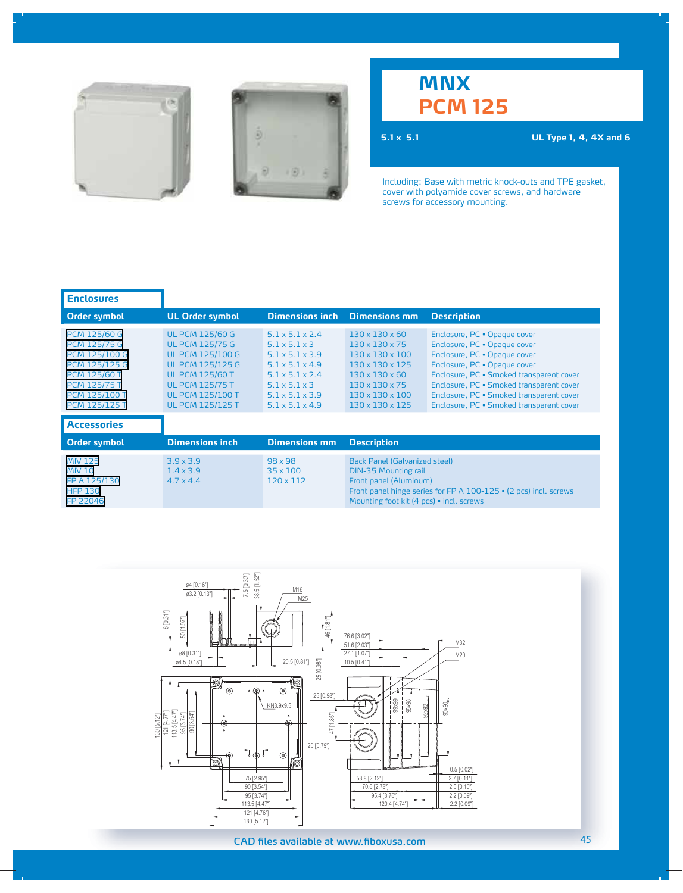



**5.1 x 5.1 UL Type 1, 4, 4X and 6**

| <b>Enclosures</b>                                                                                                                                                                 |                                                                                                                                                                                                                  |                                                                                                                                                                                                                                                  |                                                                                                                                                                                                                                      |                                                                                                                                                                                                                                                                                                              |
|-----------------------------------------------------------------------------------------------------------------------------------------------------------------------------------|------------------------------------------------------------------------------------------------------------------------------------------------------------------------------------------------------------------|--------------------------------------------------------------------------------------------------------------------------------------------------------------------------------------------------------------------------------------------------|--------------------------------------------------------------------------------------------------------------------------------------------------------------------------------------------------------------------------------------|--------------------------------------------------------------------------------------------------------------------------------------------------------------------------------------------------------------------------------------------------------------------------------------------------------------|
| Order symbol                                                                                                                                                                      | <b>UL Order symbol</b>                                                                                                                                                                                           | <b>Dimensions inch</b>                                                                                                                                                                                                                           | <b>Dimensions mm</b>                                                                                                                                                                                                                 | <b>Description</b>                                                                                                                                                                                                                                                                                           |
| <b>PCM 125/60 G</b><br><b>PCM 125/75 G</b><br><b>PCM 125/100 G</b><br>PCM 125/125 G<br><b>PCM 125/60 T</b><br><b>PCM 125/75 T</b><br><b>PCM 125/100 T</b><br><b>PCM 125/125 T</b> | <b>UL PCM 125/60 G</b><br><b>UL PCM 125/75 G</b><br><b>UL PCM 125/100 G</b><br><b>UL PCM 125/125 G</b><br><b>UL PCM 125/60 T</b><br><b>UL PCM 125/75 T</b><br><b>UL PCM 125/100 T</b><br><b>UL PCM 125/125 T</b> | $5.1 \times 5.1 \times 2.4$<br>$5.1 \times 5.1 \times 3$<br>$5.1 \times 5.1 \times 3.9$<br>$5.1 \times 5.1 \times 4.9$<br>$5.1 \times 5.1 \times 2.4$<br>$5.1 \times 5.1 \times 3$<br>$5.1 \times 5.1 \times 3.9$<br>$5.1 \times 5.1 \times 4.9$ | $130 \times 130 \times 60$<br>$130 \times 130 \times 75$<br>$130 \times 130 \times 100$<br>130 x 130 x 125<br>$130 \times 130 \times 60$<br>$130 \times 130 \times 75$<br>$130 \times 130 \times 100$<br>$130 \times 130 \times 125$ | Enclosure, PC . Opaque cover<br>Enclosure, PC . Opaque cover<br>Enclosure, PC . Opaque cover<br>Enclosure, PC . Opaque cover<br>Enclosure, PC · Smoked transparent cover<br>Enclosure, PC · Smoked transparent cover<br>Enclosure, PC · Smoked transparent cover<br>Enclosure, PC · Smoked transparent cover |
| <b>Accessories</b>                                                                                                                                                                |                                                                                                                                                                                                                  |                                                                                                                                                                                                                                                  |                                                                                                                                                                                                                                      |                                                                                                                                                                                                                                                                                                              |
| Order symbol                                                                                                                                                                      | <b>Dimensions inch</b>                                                                                                                                                                                           | <b>Dimensions mm</b>                                                                                                                                                                                                                             | <b>Description</b>                                                                                                                                                                                                                   |                                                                                                                                                                                                                                                                                                              |
| <b>MIV 125</b><br><b>MIV 10</b><br>FP A 125/130<br><b>HFP 130</b><br>FP 22046                                                                                                     | $3.9 \times 3.9$<br>$1.4 \times 3.9$<br>$4.7 \times 4.4$                                                                                                                                                         | $98 \times 98$<br>35 x 100<br>120 x 112                                                                                                                                                                                                          | <b>Back Panel (Galvanized steel)</b><br><b>DIN-35 Mounting rail</b><br>Front panel (Aluminum)<br>Front panel hinge series for FP A 100-125 • (2 pcs) incl. screws<br>Mounting foot kit (4 pcs) • incl. screws                        |                                                                                                                                                                                                                                                                                                              |

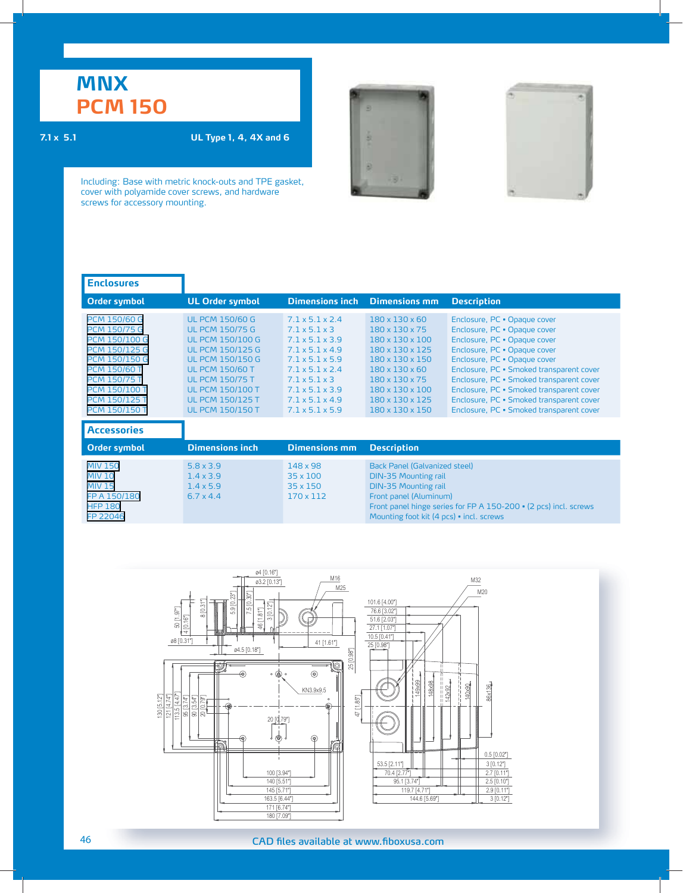### **7.1 x 5.1 UL Type 1, 4, 4X and 6**





| <b>Enclosures</b>                                                                                                                                                                                                                        |                                                                                                                                                                                                                                                                        |                                                                                                                                                                                                                                                                                                                |                                                                                                                                                                                                                                                                            |                                                                                                                                                                                                                                                                                                                                                                                          |
|------------------------------------------------------------------------------------------------------------------------------------------------------------------------------------------------------------------------------------------|------------------------------------------------------------------------------------------------------------------------------------------------------------------------------------------------------------------------------------------------------------------------|----------------------------------------------------------------------------------------------------------------------------------------------------------------------------------------------------------------------------------------------------------------------------------------------------------------|----------------------------------------------------------------------------------------------------------------------------------------------------------------------------------------------------------------------------------------------------------------------------|------------------------------------------------------------------------------------------------------------------------------------------------------------------------------------------------------------------------------------------------------------------------------------------------------------------------------------------------------------------------------------------|
| Order symbol                                                                                                                                                                                                                             | <b>UL Order symbol</b>                                                                                                                                                                                                                                                 | <b>Dimensions inch</b>                                                                                                                                                                                                                                                                                         | <b>Dimensions mm</b>                                                                                                                                                                                                                                                       | <b>Description</b>                                                                                                                                                                                                                                                                                                                                                                       |
| <b>PCM 150/60 G</b><br><b>PCM 150/75 G</b><br><b>PCM 150/100 G</b><br><b>PCM 150/125 G</b><br><b>PCM 150/150 G</b><br><b>PCM 150/60 T</b><br><b>PCM 150/75 T</b><br><b>PCM 150/100 T</b><br><b>PCM 150/125 T</b><br><b>PCM 150/150 T</b> | <b>UL PCM 150/60 G</b><br><b>UL PCM 150/75 G</b><br><b>UL PCM 150/100 G</b><br><b>UL PCM 150/125 G</b><br><b>UL PCM 150/150 G</b><br><b>UL PCM 150/60 T</b><br><b>UL PCM 150/75 T</b><br><b>UL PCM 150/100 T</b><br><b>UL PCM 150/125 T</b><br><b>UL PCM 150/150 T</b> | $7.1 \times 5.1 \times 2.4$<br>$7.1 \times 5.1 \times 3$<br>$7.1 \times 5.1 \times 3.9$<br>$7.1 \times 5.1 \times 4.9$<br>$7.1 \times 5.1 \times 5.9$<br>$7.1 \times 5.1 \times 2.4$<br>$7.1 \times 5.1 \times 3$<br>$7.1 \times 5.1 \times 3.9$<br>$7.1 \times 5.1 \times 4.9$<br>$7.1 \times 5.1 \times 5.9$ | $180 \times 130 \times 60$<br>$180 \times 130 \times 75$<br>$180 \times 130 \times 100$<br>$180 \times 130 \times 125$<br>180 x 130 x 150<br>$180 \times 130 \times 60$<br>$180 \times 130 \times 75$<br>$180 \times 130 \times 100$<br>180 x 130 x 125<br>180 x 130 x 150 | Enclosure, PC . Opaque cover<br>Enclosure, PC · Opaque cover<br>Enclosure, PC . Opaque cover<br>Enclosure, PC . Opaque cover<br>Enclosure, PC . Opaque cover<br>Enclosure, PC · Smoked transparent cover<br>Enclosure, PC · Smoked transparent cover<br>Enclosure, PC · Smoked transparent cover<br>Enclosure, PC · Smoked transparent cover<br>Enclosure, PC · Smoked transparent cover |
| <b>Accessories</b>                                                                                                                                                                                                                       |                                                                                                                                                                                                                                                                        |                                                                                                                                                                                                                                                                                                                |                                                                                                                                                                                                                                                                            |                                                                                                                                                                                                                                                                                                                                                                                          |
| Order symbol                                                                                                                                                                                                                             | <b>Dimensions inch</b>                                                                                                                                                                                                                                                 | <b>Dimensions mm</b>                                                                                                                                                                                                                                                                                           | <b>Description</b>                                                                                                                                                                                                                                                         |                                                                                                                                                                                                                                                                                                                                                                                          |
| <b>MIV 150</b><br><b>MIV 10</b><br><b>MIV 15</b><br>FP A 150/180<br><b>HFP 180</b><br>FP 22046                                                                                                                                           | $5.8 \times 3.9$<br>$1.4 \times 3.9$<br>$1.4 \times 5.9$<br>$6.7 \times 4.4$                                                                                                                                                                                           | 148 x 98<br>$35 \times 100$<br>$35 \times 150$<br>170 x 112                                                                                                                                                                                                                                                    | <b>Back Panel (Galvanized steel)</b><br><b>DIN-35 Mounting rail</b><br><b>DIN-35 Mounting rail</b><br>Front panel (Aluminum)<br>Front panel hinge series for FP A 150-200 • (2 pcs) incl. screws<br>Mounting foot kit (4 pcs) · incl. screws                               |                                                                                                                                                                                                                                                                                                                                                                                          |

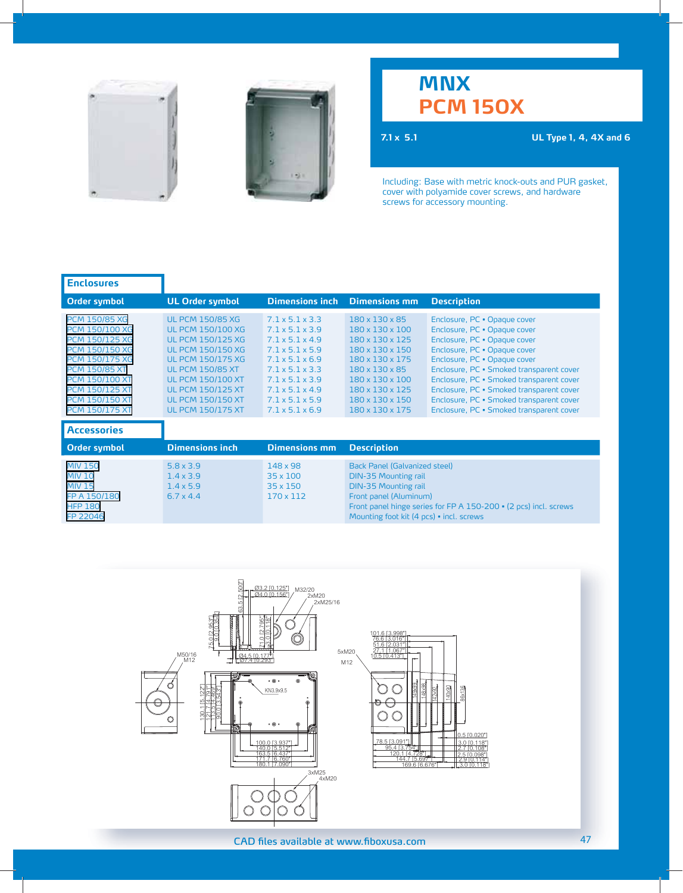



## **MNX PCM 150X**

**7.1 x 5.1 UL Type 1, 4, 4X and 6**

| <b>UL Order symbol</b>                                                                                                                                                                                                                                                             | <b>Dimensions inch</b>                                                                                                                                                                                                                                                                          | <b>Dimensions mm</b>                                                                                                                                                                                                         | <b>Description</b>                                                                                                                                                                                                                                                                                                                                                                       |
|------------------------------------------------------------------------------------------------------------------------------------------------------------------------------------------------------------------------------------------------------------------------------------|-------------------------------------------------------------------------------------------------------------------------------------------------------------------------------------------------------------------------------------------------------------------------------------------------|------------------------------------------------------------------------------------------------------------------------------------------------------------------------------------------------------------------------------|------------------------------------------------------------------------------------------------------------------------------------------------------------------------------------------------------------------------------------------------------------------------------------------------------------------------------------------------------------------------------------------|
| <b>UL PCM 150/85 XG</b><br><b>UL PCM 150/100 XG</b><br><b>UL PCM 150/125 XG</b><br><b>UL PCM 150/150 XG</b><br><b>UL PCM 150/175 XG</b><br><b>UL PCM 150/85 XT</b><br><b>UL PCM 150/100 XT</b><br><b>UL PCM 150/125 XT</b><br><b>UL PCM 150/150 XT</b><br><b>UL PCM 150/175 XT</b> | 71x51x33<br>$7.1 \times 5.1 \times 3.9$<br>$7.1 \times 5.1 \times 4.9$<br>$7.1 \times 5.1 \times 5.9$<br>$7.1 \times 5.1 \times 6.9$<br>$7.1 \times 5.1 \times 3.3$<br>$7.1 \times 5.1 \times 3.9$<br>$7.1 \times 5.1 \times 4.9$<br>$7.1 \times 5.1 \times 5.9$<br>$7.1 \times 5.1 \times 6.9$ | 180 x 130 x 85<br>$180 \times 130 \times 100$<br>180 x 130 x 125<br>$180 \times 130 \times 150$<br>180 x 130 x 175<br>$180 \times 130 \times 85$<br>180 x 130 x 100<br>180 x 130 x 125<br>180 x 130 x 150<br>180 x 130 x 175 | Enclosure, PC . Opaque cover<br>Enclosure, PC . Opaque cover<br>Enclosure, PC . Opaque cover<br>Enclosure, PC . Opaque cover<br>Enclosure, PC . Opaque cover<br>Enclosure, PC · Smoked transparent cover<br>Enclosure, PC · Smoked transparent cover<br>Enclosure, PC · Smoked transparent cover<br>Enclosure, PC · Smoked transparent cover<br>Enclosure, PC · Smoked transparent cover |
|                                                                                                                                                                                                                                                                                    |                                                                                                                                                                                                                                                                                                 |                                                                                                                                                                                                                              |                                                                                                                                                                                                                                                                                                                                                                                          |
| <b>Dimensions inch</b>                                                                                                                                                                                                                                                             | <b>Dimensions mm</b>                                                                                                                                                                                                                                                                            | <b>Description</b>                                                                                                                                                                                                           |                                                                                                                                                                                                                                                                                                                                                                                          |
| $5.8 \times 3.9$<br>$1.4 \times 3.9$<br>$1.4 \times 5.9$<br>$6.7 \times 4.4$                                                                                                                                                                                                       | 148 x 98<br>$35 \times 100$<br>$35 \times 150$<br>170 x 112                                                                                                                                                                                                                                     | <b>Back Panel (Galvanized steel)</b><br><b>DIN-35 Mounting rail</b><br><b>DIN-35 Mounting rail</b><br>Front panel (Aluminum)<br>Mounting foot kit (4 pcs) · incl. screws                                                     | Front panel hinge series for FP A 150-200 · (2 pcs) incl. screws                                                                                                                                                                                                                                                                                                                         |
|                                                                                                                                                                                                                                                                                    |                                                                                                                                                                                                                                                                                                 |                                                                                                                                                                                                                              |                                                                                                                                                                                                                                                                                                                                                                                          |

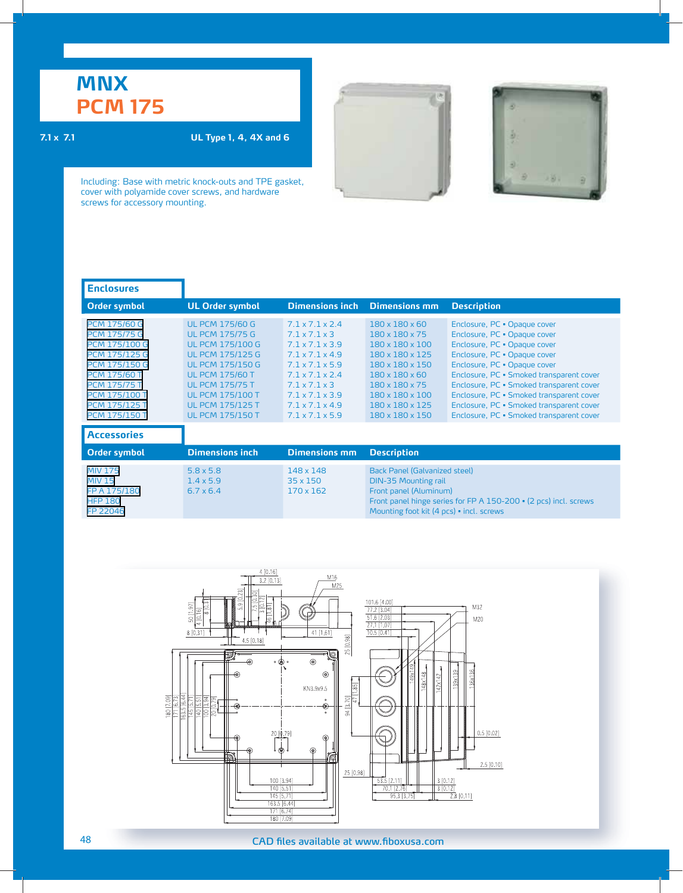### **7.1 x 7.1 UL Type 1, 4, 4X and 6**





| <b>Enclosures</b>                                                                                                                                                                                                                        |                                                                                                                                                                                                                                                                        |                                                                                                                                                                                                                                                                                               |                                                                                                                                                                                                                |                                                                                                                                                                                                                                                                                                                                                                                          |
|------------------------------------------------------------------------------------------------------------------------------------------------------------------------------------------------------------------------------------------|------------------------------------------------------------------------------------------------------------------------------------------------------------------------------------------------------------------------------------------------------------------------|-----------------------------------------------------------------------------------------------------------------------------------------------------------------------------------------------------------------------------------------------------------------------------------------------|----------------------------------------------------------------------------------------------------------------------------------------------------------------------------------------------------------------|------------------------------------------------------------------------------------------------------------------------------------------------------------------------------------------------------------------------------------------------------------------------------------------------------------------------------------------------------------------------------------------|
| Order symbol                                                                                                                                                                                                                             | <b>UL Order symbol</b>                                                                                                                                                                                                                                                 | <b>Dimensions inch</b>                                                                                                                                                                                                                                                                        | <b>Dimensions mm</b>                                                                                                                                                                                           | <b>Description</b>                                                                                                                                                                                                                                                                                                                                                                       |
| <b>PCM 175/60 G</b><br><b>PCM 175/75 G</b><br><b>PCM 175/100 G</b><br><b>PCM 175/125 G</b><br><b>PCM 175/150 G</b><br><b>PCM 175/60 T</b><br><b>PCM 175/75 T</b><br><b>PCM 175/100 T</b><br><b>PCM 175/125 T</b><br><b>PCM 175/150 T</b> | <b>UL PCM 175/60 G</b><br><b>UL PCM 175/75 G</b><br><b>UL PCM 175/100 G</b><br><b>UL PCM 175/125 G</b><br><b>UL PCM 175/150 G</b><br><b>UL PCM 175/60 T</b><br><b>UL PCM 175/75 T</b><br><b>UL PCM 175/100 T</b><br><b>UL PCM 175/125 T</b><br><b>UL PCM 175/150 T</b> | $7.1 \times 7.1 \times 2.4$<br>$7.1 \times 7.1 \times 3$<br>$7.1 \times 7.1 \times 3.9$<br>$7.1 \times 7.1 \times 4.9$<br>$7.1 \times 7.1 \times 5.9$<br>$71x71x24$<br>$7.1 \times 7.1 \times 3$<br>$7.1 \times 7.1 \times 3.9$<br>$7.1 \times 7.1 \times 4.9$<br>$7.1 \times 7.1 \times 5.9$ | $180 \times 180 \times 60$<br>180 x 180 x 75<br>180 x 180 x 100<br>180 x 180 x 125<br>180 x 180 x 150<br>$180 \times 180 \times 60$<br>180 x 180 x 75<br>180 x 180 x 100<br>180 x 180 x 125<br>180 x 180 x 150 | Enclosure, PC . Opaque cover<br>Enclosure, PC . Opaque cover<br>Enclosure, PC . Opaque cover<br>Enclosure, PC . Opaque cover<br>Enclosure, PC . Opaque cover<br>Enclosure, PC · Smoked transparent cover<br>Enclosure, PC · Smoked transparent cover<br>Enclosure, PC · Smoked transparent cover<br>Enclosure, PC · Smoked transparent cover<br>Enclosure, PC · Smoked transparent cover |
| <b>Accessories</b>                                                                                                                                                                                                                       |                                                                                                                                                                                                                                                                        |                                                                                                                                                                                                                                                                                               |                                                                                                                                                                                                                |                                                                                                                                                                                                                                                                                                                                                                                          |
| <b>Order symbol</b>                                                                                                                                                                                                                      | <b>Dimensions inch</b>                                                                                                                                                                                                                                                 | <b>Dimensions mm</b>                                                                                                                                                                                                                                                                          | <b>Description</b>                                                                                                                                                                                             |                                                                                                                                                                                                                                                                                                                                                                                          |
| <b>MIV 175</b><br><b>MIV 15</b><br>FP A 175/180<br><b>HFP 180</b><br>FP 22046                                                                                                                                                            | $5.8 \times 5.8$<br>$1.4 \times 5.9$<br>$6.7 \times 6.4$                                                                                                                                                                                                               | 148 x 148<br>$35 \times 150$<br>$170 \times 162$                                                                                                                                                                                                                                              | Back Panel (Galvanized steel)<br><b>DIN-35 Mounting rail</b><br>Front panel (Aluminum)<br>Front panel hinge series for FP A 150-200 · (2 pcs) incl. screws<br>Mounting foot kit (4 pcs) • incl. screws         |                                                                                                                                                                                                                                                                                                                                                                                          |

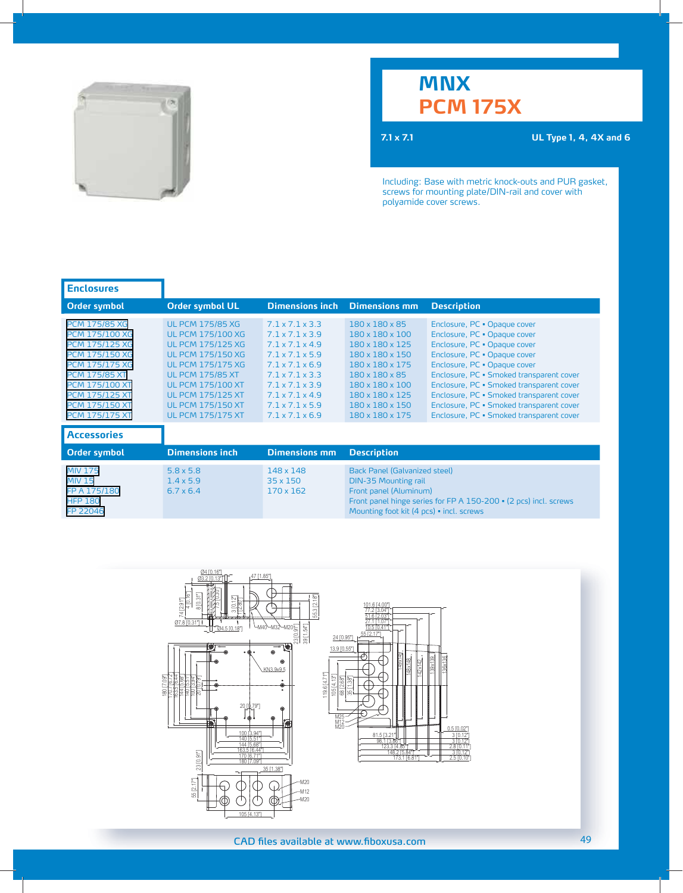

# **MNX PCM 175X**

**7.1 x 7.1 UL Type 1, 4, 4X and 6** 

Including: Base with metric knock-outs and PUR gasket, screws for mounting plate/DIN-rail and cover with polyamide cover screws.

| <b>Enclosures</b>                                                                                                                                                                                                                                    |                                                                                                                                                                                                                                                                                    |                                                                                                                                                                                                                                                                                                        |                                                                                                                                                                                          |                                                                                                                                                                                                                                                                                                                                                                                          |
|------------------------------------------------------------------------------------------------------------------------------------------------------------------------------------------------------------------------------------------------------|------------------------------------------------------------------------------------------------------------------------------------------------------------------------------------------------------------------------------------------------------------------------------------|--------------------------------------------------------------------------------------------------------------------------------------------------------------------------------------------------------------------------------------------------------------------------------------------------------|------------------------------------------------------------------------------------------------------------------------------------------------------------------------------------------|------------------------------------------------------------------------------------------------------------------------------------------------------------------------------------------------------------------------------------------------------------------------------------------------------------------------------------------------------------------------------------------|
| <b>Order symbol</b>                                                                                                                                                                                                                                  | <b>Order symbol UL</b>                                                                                                                                                                                                                                                             | <b>Dimensions inch</b>                                                                                                                                                                                                                                                                                 | <b>Dimensions mm</b>                                                                                                                                                                     | <b>Description</b>                                                                                                                                                                                                                                                                                                                                                                       |
| <b>PCM 175/85 XG</b><br><b>PCM 175/100 XG</b><br><b>PCM 175/125 XG</b><br><b>PCM 175/150 XG</b><br><b>PCM 175/175 XG</b><br><b>PCM 175/85 XT</b><br><b>PCM 175/100 XT</b><br><b>PCM 175/125 XT</b><br><b>PCM 175/150 XT</b><br><b>PCM 175/175 XT</b> | <b>UL PCM 175/85 XG</b><br><b>UL PCM 175/100 XG</b><br><b>UL PCM 175/125 XG</b><br><b>UL PCM 175/150 XG</b><br><b>UL PCM 175/175 XG</b><br><b>UL PCM 175/85 XT</b><br><b>UL PCM 175/100 XT</b><br><b>UL PCM 175/125 XT</b><br><b>UL PCM 175/150 XT</b><br><b>UL PCM 175/175 XT</b> | 7 1 x 7 1 x 3 3<br>$7.1 \times 7.1 \times 3.9$<br>$7.1 \times 7.1 \times 4.9$<br>$7.1 \times 7.1 \times 5.9$<br>$7.1 \times 7.1 \times 6.9$<br>$7.1 \times 7.1 \times 3.3$<br>$7.1 \times 7.1 \times 3.9$<br>$7.1 \times 7.1 \times 4.9$<br>$7.1 \times 7.1 \times 5.9$<br>$7.1 \times 7.1 \times 6.9$ | 180 x 180 x 85<br>180 x 180 x 100<br>180 x 180 x 125<br>180 x 180 x 150<br>180 x 180 x 175<br>180 x 180 x 85<br>180 x 180 x 100<br>180 x 180 x 125<br>180 x 180 x 150<br>180 x 180 x 175 | Enclosure, PC . Opaque cover<br>Enclosure, PC . Opaque cover<br>Enclosure, PC . Opaque cover<br>Enclosure, PC · Opaque cover<br>Enclosure, PC . Opaque cover<br>Enclosure, PC · Smoked transparent cover<br>Enclosure, PC · Smoked transparent cover<br>Enclosure, PC · Smoked transparent cover<br>Enclosure, PC · Smoked transparent cover<br>Enclosure, PC · Smoked transparent cover |
| <b>Accessories</b>                                                                                                                                                                                                                                   |                                                                                                                                                                                                                                                                                    |                                                                                                                                                                                                                                                                                                        |                                                                                                                                                                                          |                                                                                                                                                                                                                                                                                                                                                                                          |
| <b>Order symbol</b>                                                                                                                                                                                                                                  | <b>Dimensions inch</b>                                                                                                                                                                                                                                                             | <b>Dimensions mm</b>                                                                                                                                                                                                                                                                                   | <b>Description</b>                                                                                                                                                                       |                                                                                                                                                                                                                                                                                                                                                                                          |
| <b>MIV 175</b><br><b>MIV 15</b><br>FP A 175/180<br><b>HFP 180</b><br>FP 22046                                                                                                                                                                        | $5.8 \times 5.8$<br>$1.4 \times 5.9$<br>$6.7 \times 6.4$                                                                                                                                                                                                                           | 148 x 148<br>$35 \times 150$<br>170 x 162                                                                                                                                                                                                                                                              | <b>Back Panel (Galvanized steel)</b><br><b>DIN-35 Mounting rail</b><br>Front panel (Aluminum)<br>Mounting foot kit (4 pcs) · incl. screws                                                | Front panel hinge series for FP A 150-200 • (2 pcs) incl. screws                                                                                                                                                                                                                                                                                                                         |

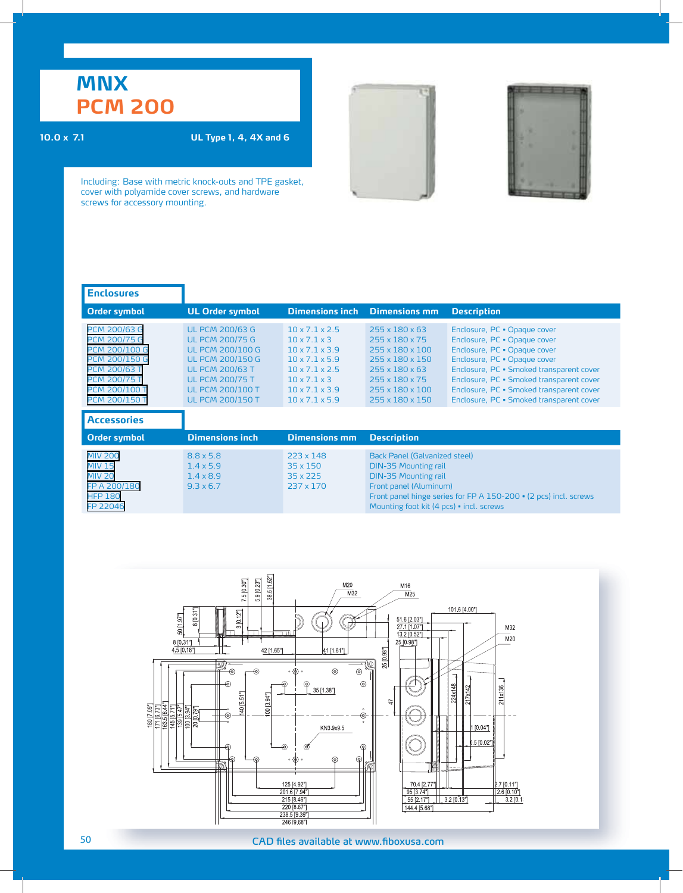**10.0 x 7.1 UL Type 1, 4, 4X and 6**



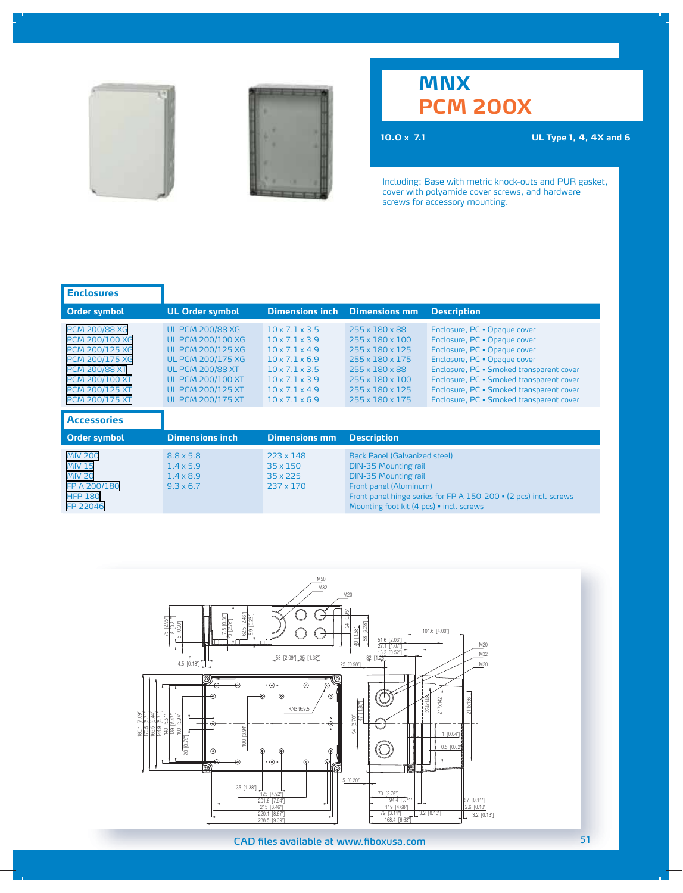



# **MNX PCM 200X**

**10.0 x 7.1 UL Type 1, 4, 4X and 6**

| <b>Enclosures</b>                                                                                                                                                                                  |                                                                                                                                                                                                                            |                                                                                                                                                                                                                            |                                                                                                                                                                   |                                                                                                                                                                                                                                                                                                              |
|----------------------------------------------------------------------------------------------------------------------------------------------------------------------------------------------------|----------------------------------------------------------------------------------------------------------------------------------------------------------------------------------------------------------------------------|----------------------------------------------------------------------------------------------------------------------------------------------------------------------------------------------------------------------------|-------------------------------------------------------------------------------------------------------------------------------------------------------------------|--------------------------------------------------------------------------------------------------------------------------------------------------------------------------------------------------------------------------------------------------------------------------------------------------------------|
| Order symbol                                                                                                                                                                                       | <b>UL Order symbol</b>                                                                                                                                                                                                     | <b>Dimensions inch</b>                                                                                                                                                                                                     | <b>Dimensions mm</b>                                                                                                                                              | <b>Description</b>                                                                                                                                                                                                                                                                                           |
| <b>PCM 200/88 XG</b><br><b>PCM 200/100 XG</b><br><b>PCM 200/125 XG</b><br><b>PCM 200/175 XG</b><br><b>PCM 200/88 XT</b><br><b>PCM 200/100 XT</b><br><b>PCM 200/125 XT</b><br><b>PCM 200/175 XT</b> | <b>UL PCM 200/88 XG</b><br><b>UL PCM 200/100 XG</b><br><b>UL PCM 200/125 XG</b><br><b>UL PCM 200/175 XG</b><br><b>UL PCM 200/88 XT</b><br><b>UL PCM 200/100 XT</b><br><b>UL PCM 200/125 XT</b><br><b>UL PCM 200/175 XT</b> | 10x71x35<br>$10 \times 7.1 \times 3.9$<br>$10 \times 7.1 \times 4.9$<br>$10 \times 7.1 \times 6.9$<br>$10 \times 7.1 \times 3.5$<br>$10 \times 7.1 \times 3.9$<br>$10 \times 7.1 \times 4.9$<br>$10 \times 7.1 \times 6.9$ | 255 x 180 x 88<br>255 x 180 x 100<br>255 x 180 x 125<br>255 x 180 x 175<br>255 x 180 x 88<br>255 x 180 x 100<br>255 x 180 x 125<br>255 x 180 x 175                | Enclosure, PC . Opaque cover<br>Enclosure, PC . Opaque cover<br>Enclosure, PC . Opaque cover<br>Enclosure, PC . Opaque cover<br>Enclosure, PC · Smoked transparent cover<br>Enclosure, PC · Smoked transparent cover<br>Enclosure, PC · Smoked transparent cover<br>Enclosure, PC · Smoked transparent cover |
| <b>Accessories</b>                                                                                                                                                                                 |                                                                                                                                                                                                                            |                                                                                                                                                                                                                            |                                                                                                                                                                   |                                                                                                                                                                                                                                                                                                              |
| <b>Order symbol</b>                                                                                                                                                                                | <b>Dimensions inch</b>                                                                                                                                                                                                     | <b>Dimensions mm</b>                                                                                                                                                                                                       | <b>Description</b>                                                                                                                                                |                                                                                                                                                                                                                                                                                                              |
| <b>MIV 200</b><br><b>MIV 15</b><br><b>MIV 20</b><br>FP A 200/180<br><b>HFP 180</b><br>FP 22046                                                                                                     | $8.8 \times 5.8$<br>$1.4 \times 5.9$<br>$1.4 \times 8.9$<br>$9.3 \times 6.7$                                                                                                                                               | 223 x 148<br>$35 \times 150$<br>35 x 225<br>237 x 170                                                                                                                                                                      | Back Panel (Galvanized steel)<br><b>DIN-35 Mounting rail</b><br><b>DIN-35 Mounting rail</b><br>Front panel (Aluminum)<br>Mounting foot kit (4 pcs) • incl. screws | Front panel hinge series for FP A 150-200 • (2 pcs) incl. screws                                                                                                                                                                                                                                             |

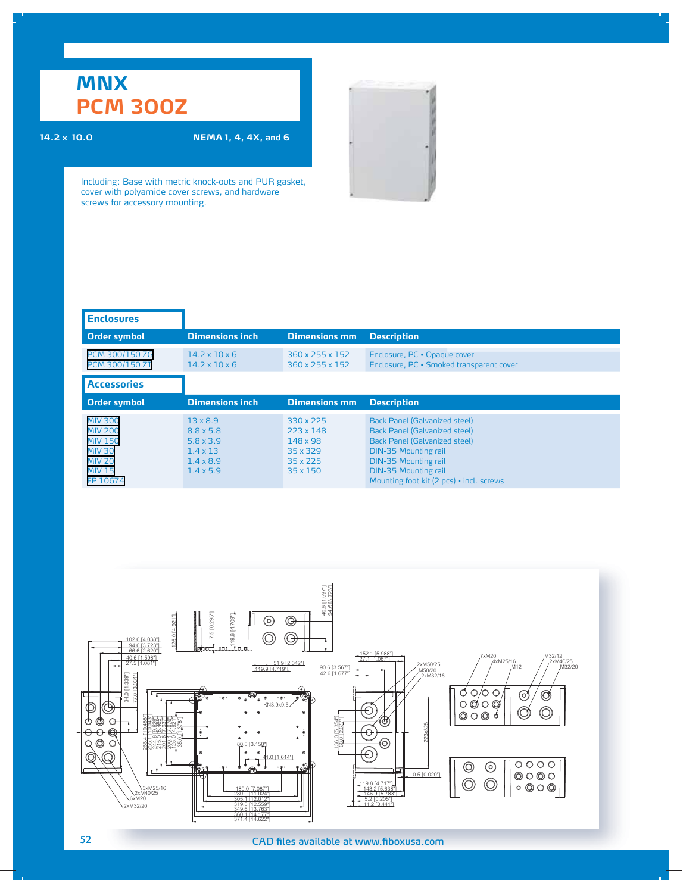## **MNX PCM 300Z**

### **14.2 x 10.0 NEMA 1, 4, 4X, and 6**

| <b>Enclosures</b>                                                                                                 |                                                                                                                    |                                                                                      |                                                                                                                                                                                                                                                               |
|-------------------------------------------------------------------------------------------------------------------|--------------------------------------------------------------------------------------------------------------------|--------------------------------------------------------------------------------------|---------------------------------------------------------------------------------------------------------------------------------------------------------------------------------------------------------------------------------------------------------------|
| <b>Order symbol</b>                                                                                               | <b>Dimensions inch</b>                                                                                             | <b>Dimensions mm</b>                                                                 | <b>Description</b>                                                                                                                                                                                                                                            |
| PCM 300/150 ZG<br><b>PCM 300/150 ZT</b>                                                                           | $14.2 \times 10 \times 6$<br>$14.2 \times 10 \times 6$                                                             | 360 x 255 x 152<br>360 x 255 x 152                                                   | Enclosure, PC . Opaque cover<br>Enclosure, PC · Smoked transparent cover                                                                                                                                                                                      |
| <b>Accessories</b>                                                                                                |                                                                                                                    |                                                                                      |                                                                                                                                                                                                                                                               |
| <b>Order symbol</b>                                                                                               | <b>Dimensions inch</b>                                                                                             | <b>Dimensions mm</b>                                                                 | <b>Description</b>                                                                                                                                                                                                                                            |
| <b>MIV 300</b><br><b>MIV 200</b><br><b>MIV 150</b><br><b>MIV 30</b><br><b>MIV 20</b><br><b>MIV 15</b><br>FP 10674 | $13 \times 8.9$<br>$8.8 \times 5.8$<br>$5.8 \times 3.9$<br>$1.4 \times 13$<br>$1.4 \times 8.9$<br>$1.4 \times 5.9$ | 330 x 225<br>$223 \times 148$<br>148 x 98<br>35 x 329<br>$35 \times 225$<br>35 x 150 | <b>Back Panel (Galvanized steel)</b><br><b>Back Panel (Galvanized steel)</b><br><b>Back Panel (Galvanized steel)</b><br><b>DIN-35 Mounting rail</b><br><b>DIN-35 Mounting rail</b><br><b>DIN-35 Mounting rail</b><br>Mounting foot kit (2 pcs) • incl. screws |

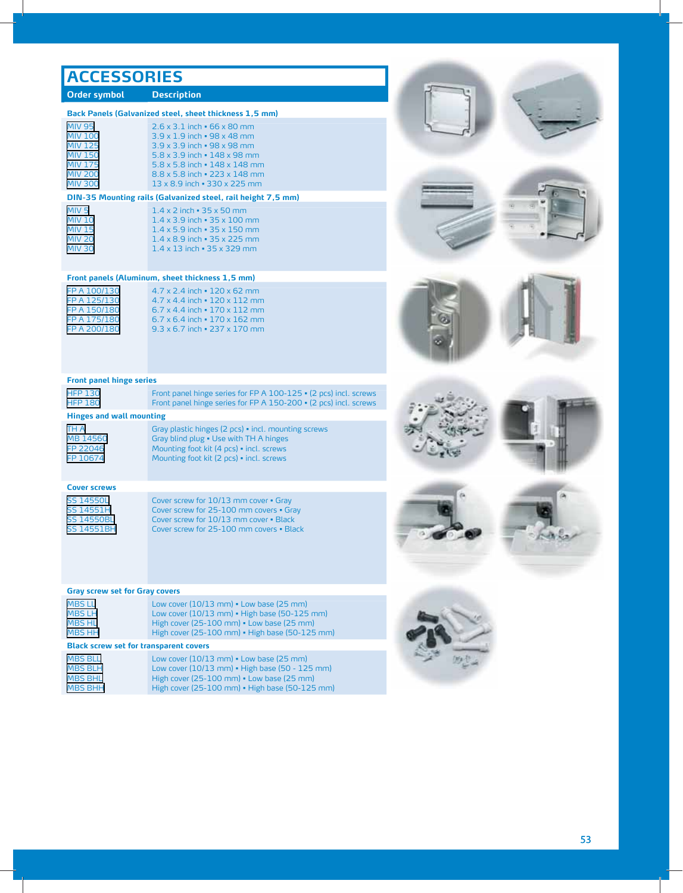## **ACCESSORIES**

### **Order symbol Description**

|  |  | Back Panels (Galvanized steel, sheet thickness 1,5 mm) |  |  |
|--|--|--------------------------------------------------------|--|--|
|--|--|--------------------------------------------------------|--|--|

| <b>MIV 95</b>  | $2.6 \times 3.1$ inch $\cdot$ 66 x 80 mm          |
|----------------|---------------------------------------------------|
| <b>MIV 100</b> | $3.9 \times 1.9$ inch $\cdot$ 98 x 48 mm          |
| <b>MIV 125</b> | $3.9 \times 3.9$ inch $\cdot$ 98 x 98 mm          |
| <b>MIV 150</b> | $5.8 \times 3.9$ inch $\cdot$ 148 x 98 mm         |
| <b>MIV 175</b> | $5.8 \times 5.8$ inch $\cdot$ 148 $\times$ 148 mm |
| <b>MIV 200</b> | $8.8 \times 5.8$ inch $\cdot$ 223 x 148 mm        |
| <b>MIV 300</b> | 13 x 8.9 inch = 330 x 225 mm                      |

### **DIN-35 Mounting rails (Galvanized steel, rail height 7,5 mm)**

| MIV <sub>5</sub> | $1.4 \times 2$ inch $\cdot$ 35 x 50 mm    |
|------------------|-------------------------------------------|
| <b>MIV 10</b>    | $1.4 \times 3.9$ inch $\cdot$ 35 x 100 mm |
| <b>MIV 15</b>    | $1.4 \times 5.9$ inch $\cdot$ 35 x 150 mm |
| <b>MIV 20</b>    | $1.4 \times 8.9$ inch $\cdot$ 35 x 225 mm |
| <b>MIV 30</b>    | $1.4 \times 13$ inch $\cdot$ 35 x 329 mm  |
|                  |                                           |

### **Front panels (Aluminum, sheet thickness 1,5 mm)**

| FP A 100/130 | $4.7 \times 2.4$ inch $\cdot$ 120 $\times$ 62 mm  |
|--------------|---------------------------------------------------|
| FP A 125/130 | 4.7 x 4.4 inch • 120 x 112 mm                     |
| FP A 150/180 | $6.7 \times 4.4$ inch $\cdot$ 170 $\times$ 112 mm |
| FP A 175/180 | $6.7 \times 6.4$ inch $\cdot$ 170 $\times$ 162 mm |
| FP A 200/180 | $9.3 \times 6.7$ inch $\cdot$ 237 $\times$ 170 mm |
|              |                                                   |

### **Front panel hinge series**

| <b>HFP 130</b> | Front panel hinge series for FP A 100-125 • (2 pcs) incl. screws |
|----------------|------------------------------------------------------------------|
| <b>HFP 180</b> | Front panel hinge series for FP A 150-200 • (2 pcs) incl. screws |

### **Hinges and wall mounting**

| TH A     | Gray plastic hinges (2 pcs) • incl. mounting screws |
|----------|-----------------------------------------------------|
| MB 14560 | Gray blind plug . Use with TH A hinges              |
| FP 22046 | Mounting foot kit (4 pcs) . incl. screws            |
| FP 10674 | Mounting foot kit (2 pcs) · incl. screws            |
|          |                                                     |

### **Cover screws**

[SS 14550L](http://catalogs.fibox.com/catalogs/Search.taf?_function=detail&_listcall=2&pg_id=66&Product_uid1=327&_UserReference=185D2B7DA4202BAF4E2571DB) Cover screw for 10/13 mm cover • Gray<br>SS 14551H Cover screw for 25-100 mm covers • Gra [SS 14551H](http://catalogs.fibox.com/catalogs/Search.taf?_function=detail&_listcall=2&pg_id=66&Product_uid1=328&_UserReference=185D2B7DA4202BAF4E2571DB) Cover screw for 25-100 mm covers = Gray<br>SS 14550BL Cover screw for 10/13 mm cover = Black [SS 14550BL](http://catalogs.fibox.com/catalogs/Search.taf?_function=detail&_listcall=2&pg_id=66&Product_uid1=329&_UserReference=185D2B7DA4202BAF4E2571DB) Cover screw for 10/13 mm cover • Black<br>SS 14551BH Cover screw for 25-100 mm covers • Bla Cover screw for 25-100 mm covers . Black

### **Gray screw set for Gray covers**

| <b>MBS LL</b> | Low cover $(10/13 \text{ mm})$ $\cdot$ Low base $(25 \text{ mm})$ |
|---------------|-------------------------------------------------------------------|
| <b>MBS LH</b> | Low cover (10/13 mm) • High base (50-125 mm)                      |
| <b>MBS HL</b> | High cover (25-100 mm) . Low base (25 mm)                         |
| MBS HH        | High cover (25-100 mm) . High base (50-125 mm)                    |

### **Black screw set for transparent covers**

| <b>MBS BLL</b> | Low cover $(10/13 \text{ mm})$ $\cdot$ Low base $(25 \text{ mm})$ |
|----------------|-------------------------------------------------------------------|
| <b>MBS BLH</b> | Low cover (10/13 mm) • High base (50 - 125 mm)                    |
| <b>MBS BHL</b> | High cover (25-100 mm) . Low base (25 mm)                         |
| <b>MBS BHH</b> | High cover (25-100 mm) • High base (50-125 mm)                    |